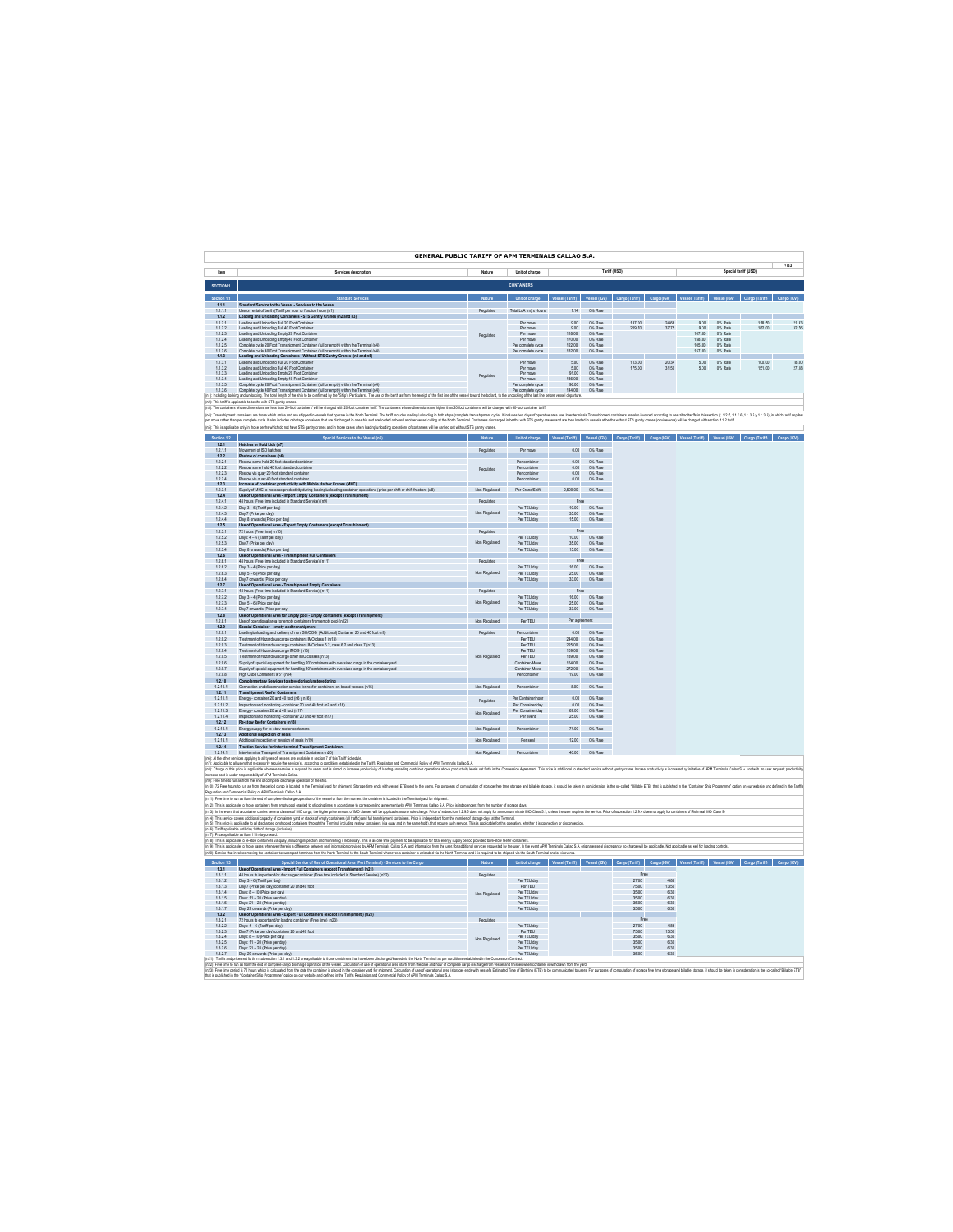|                              | <b>GENERAL PUBLIC TARIFF OF APM TERMINALS CALLAO S.A.</b>                                                                                                                                                                                                                                                                                                                                                                                             |                  |                                                                                                                                                                 |                                      |                    |                                                         |              |                             |                    |                |       |
|------------------------------|-------------------------------------------------------------------------------------------------------------------------------------------------------------------------------------------------------------------------------------------------------------------------------------------------------------------------------------------------------------------------------------------------------------------------------------------------------|------------------|-----------------------------------------------------------------------------------------------------------------------------------------------------------------|--------------------------------------|--------------------|---------------------------------------------------------|--------------|-----------------------------|--------------------|----------------|-------|
| ltem                         | Services description                                                                                                                                                                                                                                                                                                                                                                                                                                  | Nature           | Unit of charge                                                                                                                                                  | Tariff (USD)<br>Special tariff (USD) |                    |                                                         |              |                             |                    |                | v83   |
| SECTION 1                    |                                                                                                                                                                                                                                                                                                                                                                                                                                                       |                  | <b>CONTAINERS</b>                                                                                                                                               |                                      |                    |                                                         |              |                             |                    |                |       |
|                              |                                                                                                                                                                                                                                                                                                                                                                                                                                                       |                  |                                                                                                                                                                 |                                      |                    |                                                         |              |                             |                    |                |       |
| 111                          | Standard Service to the Vessel - Services to the Vessel                                                                                                                                                                                                                                                                                                                                                                                               |                  | Unit of charge                                                                                                                                                  |                                      |                    | Vessel (IGV) Cargo (Tariff) Cargo (IGV) Vessel (Tariff) |              |                             |                    |                |       |
| 1.1.1.1<br>112               | Use or rental of berth (Tariff per hour or fraction hour) (n1)<br>Loading and Unloading Containers - STS Gantry Cranes (n2 and n3)                                                                                                                                                                                                                                                                                                                    | Regulated        | Total LoA (m) x Hours                                                                                                                                           | 1.14                                 | 0% Rate            |                                                         |              |                             |                    |                |       |
| 1.12.1                       | Loading and Unloading Full 20 Foot Container                                                                                                                                                                                                                                                                                                                                                                                                          |                  | Per move                                                                                                                                                        | 9.00                                 | 0% Rate            | 137.00                                                  | 24.66        | 9.00                        | 0% Rate            | 118.50         | 21.33 |
| 1.1.2.2<br>1123              | Loading and Unloading Full 40 Foot Container<br>Loading and Uniceding Fronty 20 Foot Container                                                                                                                                                                                                                                                                                                                                                        | Regulated        | Per move<br>Per moun                                                                                                                                            | 9.00<br>118.00                       | 0% Rate<br>0% Rate | 209.70                                                  | 37.75        | 9.00<br>107.00              | 0% Rate<br>0% Rate | 182.00         | 32.76 |
| 1.12.4<br>1.1.2.5            | Loading and Unloading Empty 40 Foot Conta<br>Complete ovcle 20 Foot Transhipment Container (full or empty) within the Terminal (n4)                                                                                                                                                                                                                                                                                                                   |                  | Per move<br>Per complete cycle                                                                                                                                  | 170.00<br>122.00                     | 0% Rate<br>0% Rate |                                                         |              | 158.00<br>105.00            | 0% Rate<br>0% Rate |                |       |
| 1126                         | Complete cycle 40 Foot Transhipment Container (full or empty) within the Terminal (n4)                                                                                                                                                                                                                                                                                                                                                                |                  | Per complete cycle                                                                                                                                              | 182.00                               | 0% Rate            |                                                         |              | 157.00                      | 0% Rate            |                |       |
| 1.1.3<br>1.1.3.1             | Loading and Unloading Containers - Without STS Gantry Cranes (n3 and n5)<br>Loading and Unloading Full 20 Foot Container                                                                                                                                                                                                                                                                                                                              |                  | Per move                                                                                                                                                        | 5.00                                 | 0% Rate            | 113.00                                                  | 20.34        | 5.00                        | 0% Rate            | 100.00         | 18.00 |
| 1132<br>$\frac{1133}{1.133}$ | Loading and Uniondian Euil AD East Container<br>Loading and Unloading Empty 20 Foot Co                                                                                                                                                                                                                                                                                                                                                                |                  | Per move<br>Per move                                                                                                                                            | 600<br>91.00                         | OK Date<br>0% Rate | 125.00                                                  | 31.50        | 5.00                        | OK Date            | 151.00         | 27.18 |
| 1.1.3.4                      | Loading and Unloading Empty 40 Foot Container                                                                                                                                                                                                                                                                                                                                                                                                         | Regulated        | Per move                                                                                                                                                        | 136.00                               | 0% Rate            |                                                         |              |                             |                    |                |       |
| 1.1.3.5<br>1.1.36            | Complete ovcle 20 Foot Transhipment Container (full or empty) within the Terminal (n4)<br>Complete ovcle 40 Foot Transhipment Container (full or empty) within the Terminal (n4)                                                                                                                                                                                                                                                                      |                  | Per complete cycle<br>Per complete ovde                                                                                                                         | 96.00<br>144.00                      | 0% Rate<br>0% Rate |                                                         |              |                             |                    |                |       |
|                              | (n1): Including docking and undocking. The total langth of the ship to be confirmed by the "Ship's Particulars". The use of the beth as from the receipt of the first line of the vessel toward the bollard, to the undocking                                                                                                                                                                                                                         |                  |                                                                                                                                                                 |                                      |                    |                                                         |              |                             |                    |                |       |
|                              | (n2): This tariff is applicable to berths with STS gentry cranes.<br>(n3): The containers whose dimensions are less than 20-foot containers' will be charged with 20-foot container tariff. The containers whose dimensions are higher than 20-foot containers' will be charged with 40-foot contai                                                                                                                                                   |                  |                                                                                                                                                                 |                                      |                    |                                                         |              |                             |                    |                |       |
|                              | .<br>In Tensories comes and the state of the state of the state of the state of the state of the state of the comes of the comes the comes the state of the state of the state of the state of the state of the state of the stat                                                                                                                                                                                                                     |                  |                                                                                                                                                                 |                                      |                    |                                                         |              |                             |                    |                |       |
|                              | (n5): This is applicable only in those bettra which do not have STS gantry cranes and in those cases when loading/unloading operations of containers will be canned out without STS gantry cranes.                                                                                                                                                                                                                                                    |                  |                                                                                                                                                                 |                                      |                    |                                                         |              |                             |                    |                |       |
|                              |                                                                                                                                                                                                                                                                                                                                                                                                                                                       |                  | Unit of charge Vessel (Tariff) Vessel (IGV) Cargo (Tariff)                                                                                                      |                                      |                    |                                                         |              | Cargo (IGV) Vessel (Tariff) | Vessel (KW)        | Cargo (Tariff) |       |
| 121<br>1211                  | Hatches or Hold Lids (n7)<br>Movement of ISO batches                                                                                                                                                                                                                                                                                                                                                                                                  | Requisied        | Per moun                                                                                                                                                        | 0.001                                | 0% Rate            |                                                         |              |                             |                    |                |       |
| 1.2.2                        | Restow of containers (n6)                                                                                                                                                                                                                                                                                                                                                                                                                             |                  |                                                                                                                                                                 |                                      |                    |                                                         |              |                             |                    |                |       |
| 1.22.1<br>1222               | Restow same hold 20 foot standard container<br>Restow same hold 40 foot standard contain                                                                                                                                                                                                                                                                                                                                                              |                  | Per container<br>Per contain                                                                                                                                    | 0.00<br>0.00                         | 0% Rate            |                                                         |              |                             |                    |                |       |
| 1223                         | Restow via ouav 20 foot standard contain                                                                                                                                                                                                                                                                                                                                                                                                              | Regulated        | Per container                                                                                                                                                   | 0.00                                 | 0% Rate<br>0% Rate |                                                         |              |                             |                    |                |       |
| 1.22.4<br>123                | Restow via ouav 40 foot standard containe<br>Increase of container productivity with Mobile Harbor Cranes (MHC)                                                                                                                                                                                                                                                                                                                                       |                  | Per container                                                                                                                                                   | 0.00                                 | 0% Rate            |                                                         |              |                             |                    |                |       |
| 1,23.1<br>1.24               | of MHC to increase produ<br>ations (price per shift or shift fraction) (n8<br>vity during loading to<br>Use of Operational Area - Import Empty Containers (except Transhipment)                                                                                                                                                                                                                                                                       | Non Regulated    | Per Crane/Shift                                                                                                                                                 | 2.500.00                             | 0% Rate            |                                                         |              |                             |                    |                |       |
| 1.24.1                       | 48 hours (Free time included in Standard Service) (n9)                                                                                                                                                                                                                                                                                                                                                                                                | <b>Deculated</b> |                                                                                                                                                                 | Free                                 |                    |                                                         |              |                             |                    |                |       |
| 1.24.2<br>1243               | Day: 3 - 6 (Tariff per day)<br>Day 7 (Price per day)                                                                                                                                                                                                                                                                                                                                                                                                  | Non Regulated    | Per TEUlday<br>Per TFI lidey                                                                                                                                    | 10.00<br>35.00                       | 0% Rate<br>0% Rate |                                                         |              |                             |                    |                |       |
| 1.24.4                       | Day: 8 onwards (Price per day)                                                                                                                                                                                                                                                                                                                                                                                                                        |                  | Per TEUlday                                                                                                                                                     | 15.00                                | 0% Rate            |                                                         |              |                             |                    |                |       |
| 125<br>1.25.1                | Use of Operational Area - Export Empty Containers (except Transhipment)<br>72 hours (Free time) (n10)                                                                                                                                                                                                                                                                                                                                                 | Regulated        |                                                                                                                                                                 | Free                                 |                    |                                                         |              |                             |                    |                |       |
| 1.252                        | Days: 4 - 6 (Tariff per day)                                                                                                                                                                                                                                                                                                                                                                                                                          | Non Regulated    | Per TEUlday                                                                                                                                                     | 10.00                                | 0% Rate            |                                                         |              |                             |                    |                |       |
| 1.253<br>1254                | Dav 7 (Price per davi<br>Day: 8 orwards (Price net day)                                                                                                                                                                                                                                                                                                                                                                                               |                  | Per TEUlday<br>Per TFI lider                                                                                                                                    | 35.00<br>15.00                       | 0% Rate<br>0% Rate |                                                         |              |                             |                    |                |       |
| 1.2.6<br>1.26.1              | Use of Operational Area - Transhipment Full Contain<br>48 hours (Free time included in Standard Service) (n11)                                                                                                                                                                                                                                                                                                                                        | Regulated        |                                                                                                                                                                 | Free                                 |                    |                                                         |              |                             |                    |                |       |
| 1.262                        | Dav: 3-4 (Price per day)                                                                                                                                                                                                                                                                                                                                                                                                                              |                  | Per TEUlday                                                                                                                                                     | 16.00                                | 0% Rate            |                                                         |              |                             |                    |                |       |
| 1.263<br>1284                | Day: 5 - 6 (Price per day)                                                                                                                                                                                                                                                                                                                                                                                                                            | Non Regulate     | Per TEUlday<br>Per TFI liday                                                                                                                                    | 25.00<br>33.00                       | 0% Rate<br>0% Rate |                                                         |              |                             |                    |                |       |
| 1.2.7                        | Day 7 cowards (Price per day)<br>Use of Operational Area - Transhipment Empty Containers                                                                                                                                                                                                                                                                                                                                                              |                  |                                                                                                                                                                 |                                      |                    |                                                         |              |                             |                    |                |       |
| 1271<br>1.272                | 48 hours (Free time included in Standard Service) (n11)<br>Day: 3 - 4 (Price per day)                                                                                                                                                                                                                                                                                                                                                                 | Requisied        | Per TEUlday                                                                                                                                                     | Free<br>16.00                        | 0% Rate            |                                                         |              |                             |                    |                |       |
| 1273                         | Day 6 - 6 (Price per day)                                                                                                                                                                                                                                                                                                                                                                                                                             | Non Regulated    | Per TFI lider                                                                                                                                                   | 25.00                                | 0% Rate            |                                                         |              |                             |                    |                |       |
| 1.27 <sub>A</sub><br>1.28    | Day 7 onwards (Price per day)<br>Use of Operational Area for Empty pool - Empty containers (except Transhipment)                                                                                                                                                                                                                                                                                                                                      |                  | Per TEUlday                                                                                                                                                     | 33.00                                | 0% Rate            |                                                         |              |                             |                    |                |       |
| 1.28.1<br>1.2.9              | Use of coerational area for emoty containers from emoty cool (n12)<br>Special Container - empty and transhipment                                                                                                                                                                                                                                                                                                                                      | Non Regulated    | Per TEU                                                                                                                                                         | Per agreement                        |                    |                                                         |              |                             |                    |                |       |
| 1.29.1                       | Loading unloading and delivery of non ISO/OOG (Additional) Container 20 and 40 foot (n7)                                                                                                                                                                                                                                                                                                                                                              | Regulated        | Per container                                                                                                                                                   | 0.00                                 | 0% Rate            |                                                         |              |                             |                    |                |       |
| 1.292<br>1.293               | Treatment of Hazardous cargo containers IMO class 1 (n13)<br>Treatment of Hazardous cargo containers IMO class 5.2 class 6.2 and class 7 (n13)                                                                                                                                                                                                                                                                                                        |                  | Per TEU<br>Per TEU                                                                                                                                              | 244.00<br>225.00                     | 0% Rate<br>0% Rate |                                                         |              |                             |                    |                |       |
| 1.29.4                       | Treatment of Hazardous cargo IMO 9 (n13)                                                                                                                                                                                                                                                                                                                                                                                                              |                  | Per TEU                                                                                                                                                         | 109.00                               | 0% Rate            |                                                         |              |                             |                    |                |       |
| 1296<br>1.29.6               | Treasment of Hazardous cargo other MIO classes (n13)<br>Treatment of Hazardous cargo other MIO classes (n13)<br>Supply of special equipment for handling 20' containers with oversized cargo in the container yard                                                                                                                                                                                                                                    | Non Regulated    | $D_{\text{RF}}$ TCLL<br>Container-Move                                                                                                                          | 139.00<br>164.00                     | OK Date<br>0% Rate |                                                         |              |                             |                    |                |       |
| 1297                         | Supply of special equipment for handling 40' containers with oversized cargo in the container vard                                                                                                                                                                                                                                                                                                                                                    |                  | Container-Move                                                                                                                                                  | 272.00                               | OK Date            |                                                         |              |                             |                    |                |       |
| 1.298<br>1210                | High Cube Containers 9'6" (n14)<br>Complementary Services to stevedoring/unstevedoring                                                                                                                                                                                                                                                                                                                                                                |                  | Per container                                                                                                                                                   | 19.00                                | 0% Rate            |                                                         |              |                             |                    |                |       |
| 12.10.1<br>1211              | Connection and disconnection service for reefer containers on-board vessels (n15)<br><b>Transhipment Regier Containers</b>                                                                                                                                                                                                                                                                                                                            | Non Regulated    | Per container                                                                                                                                                   | 8.00                                 | 0% Rate            |                                                         |              |                             |                    |                |       |
| 1.2.11.1                     | Energy - container 20 and 40 foot (n6 y n16)                                                                                                                                                                                                                                                                                                                                                                                                          | Regulated        | Per Containerhour                                                                                                                                               | 0.00                                 | 0% Rate            |                                                         |              |                             |                    |                |       |
| 1.2.11.2<br>1.2.11.3         | Inspection and monitoring - container 20 and 40 foot (n7 and n16)<br>Energy - container 20 and 40 foot (n17)                                                                                                                                                                                                                                                                                                                                          |                  | Per Containentday<br>Per Containenday                                                                                                                           | 0.00<br>69.00                        | 0% Rate<br>0% Rate |                                                         |              |                             |                    |                |       |
| 12114                        | Inspection and monitoring - container 20 and 40 foot (n17)<br>Re-stow Reefer Containers (n18)                                                                                                                                                                                                                                                                                                                                                         | Non Regulated    | Per event                                                                                                                                                       | 25.00                                | 0% Rate            |                                                         |              |                             |                    |                |       |
| 1.2.12<br>1.2.12.1           | Energy supply for re-stow reefer containers                                                                                                                                                                                                                                                                                                                                                                                                           | Non Regulated    | Per container                                                                                                                                                   | 71.00                                | 0% Rate            |                                                         |              |                             |                    |                |       |
| 1213                         | Additional inspection of seals                                                                                                                                                                                                                                                                                                                                                                                                                        |                  |                                                                                                                                                                 |                                      |                    |                                                         |              |                             |                    |                |       |
| 1.2.13.1<br>1214             | Additional inspection or revision of seals (n19)<br>ant Contains                                                                                                                                                                                                                                                                                                                                                                                      | Non Regulated    | Per seal                                                                                                                                                        | 12.00                                | 0% Rate            |                                                         |              |                             |                    |                |       |
| 1.2.14.1                     | Traction Service for Inter-terminal Transhipment Conta<br>Inter-terminal Transport of Transhipment Containers (n20)                                                                                                                                                                                                                                                                                                                                   | Non Regulated    | Per container                                                                                                                                                   | 40.00                                | 0% Rate            |                                                         |              |                             |                    |                |       |
|                              | (r6). Al the other services applying to all types of vessels are available in section 7 of the Tariff Schedule.<br>(n7). Applicable to all uses that necessarily require the service(s), according to conditions established in t                                                                                                                                                                                                                     |                  |                                                                                                                                                                 |                                      |                    |                                                         |              |                             |                    |                |       |
|                              | (rB): Charge of this price is applicable whenever service is required by users and is almod to increase productivity of loading container operations above productivity levels set forth in the Concession Agreement. This pri<br>increase cost is under responsability of APM Terminals Callao.                                                                                                                                                      |                  |                                                                                                                                                                 |                                      |                    |                                                         |              |                             |                    |                |       |
|                              | (rd): Free time to run as from the end of complete discharge operation of the ship                                                                                                                                                                                                                                                                                                                                                                    |                  |                                                                                                                                                                 |                                      |                    |                                                         |              |                             |                    |                |       |
|                              | (NS). The business have been completed to be formed you to be part for applies and a flash to associate the paper of computer of touries though the form any and biling it shalls these is controllers to be controllers to be                                                                                                                                                                                                                        |                  |                                                                                                                                                                 |                                      |                    |                                                         |              |                             |                    |                |       |
|                              | (n11): Free time to run as from the end of complete discharge operation of the vessel or from the moment the container is located in the Terminal yard for shipment                                                                                                                                                                                                                                                                                   |                  |                                                                                                                                                                 |                                      |                    |                                                         |              |                             |                    |                |       |
|                              | (n12): This is applicable to those containers from empty pool granted to shipping lines in accordance to conneponding agreement with APM Terminals Callao S.A. Price is independent from the number of storage days<br>(n13): In the event that a container cannes several classes of MD carge, the higher price amount of MD classes will be applicable as one sole charge. Pince of subsection 129.5 does not apply for ammonium nitrate MD Class 5 |                  |                                                                                                                                                                 |                                      |                    |                                                         |              |                             |                    |                |       |
|                              | (n14). This service covers additional capacity of containers yard or stacks of empty containers (all traffic) and full transformers containers. Price is independent from the number of storage days at the Terminal.                                                                                                                                                                                                                                 |                  |                                                                                                                                                                 |                                      |                    |                                                         |              |                             |                    |                |       |
|                              | (n15): This price is applicable to all discharged or shipped containers frough the Terminal including restow containers (via quay and in the same hold), that nequire such service. This is applicable for this operation, whe<br>(n16): Tariff applicable until day 10th of storage (inclusive).<br>(n17): Price applicable as from 11th day onward.                                                                                                 |                  |                                                                                                                                                                 |                                      |                    |                                                         |              |                             |                    |                |       |
|                              |                                                                                                                                                                                                                                                                                                                                                                                                                                                       |                  |                                                                                                                                                                 |                                      |                    |                                                         |              |                             |                    |                |       |
|                              | (n18): This is applicable to re-stow containers via quay, including imposters and more thanking free party in the approach to the payment to be applicable for total energy supply period provided to re-stow reader contain<br>(                                                                                                                                                                                                                     |                  | ested by the user. In the event APM Terminals Callao S.A. originates seal discrepancy no charge will be applicable. Not applicable as well for loading controls |                                      |                    |                                                         |              |                             |                    |                |       |
| Section 1.3                  | (n20): Service that involves moving the container between port terminals from the North Terminal to the South Terminal whenever a container is unloaded via the North Terminal and it is required to be shipped via the South<br>Special Service of Use of Operational Area (Port Terminal) - Services to the Cargo                                                                                                                                   |                  |                                                                                                                                                                 |                                      |                    |                                                         |              |                             |                    |                |       |
| 1.3.1                        | Use of Operational Area - Import Full Containers (except Transhipment) (n21)                                                                                                                                                                                                                                                                                                                                                                          |                  | Nature Unit of charge Vessel (Tariff) Vessel (IGV) Cargo (Tariff) Cargo (IGV) Vessel (Tariff) Vessel (IGV) Cargo (Tariff) Cargo (IGV)                           |                                      |                    |                                                         |              |                             |                    |                |       |
| $\frac{1.3.1.1}{1.3.1.2}$    | 48 hours to import and/or discharge container (Free time included in Standard Service) (n22)                                                                                                                                                                                                                                                                                                                                                          | Requisied        | Per TEUlday                                                                                                                                                     |                                      |                    | Free<br>27.00                                           | 486          |                             |                    |                |       |
| 1.3.1.3                      | Day 7 (Price per day) container 20 and 40 foot                                                                                                                                                                                                                                                                                                                                                                                                        |                  | Por TEU                                                                                                                                                         |                                      |                    | 75.00                                                   | 13.50        |                             |                    |                |       |
| 1314<br>1.3.1.5              | Days: 8 - 10 (Price per day)<br>Days: 11 - 20 (Price per day                                                                                                                                                                                                                                                                                                                                                                                          | Non Regulated    | Per TFI lider<br>Per TEUlday                                                                                                                                    |                                      |                    | 35.00<br>35.00                                          | 6.30<br>6.30 |                             |                    |                |       |
| 1.3.1.6                      | Days: 21 - 28 (Price per day)                                                                                                                                                                                                                                                                                                                                                                                                                         |                  | Per TEUlday                                                                                                                                                     |                                      |                    | 35.00                                                   | 6.30         |                             |                    |                |       |
| 1317<br>1.3.2                | Day: 29 cowards (Price per day)<br>Use of Operational Area - Export Full Containers (except Transhipment) (n21)                                                                                                                                                                                                                                                                                                                                       |                  | Per TFI lider                                                                                                                                                   |                                      |                    | 35.00                                                   | 6.30         |                             |                    |                |       |
| 1.3.2.1<br>1322              | 72 hours to export and/or loading container (Free time) (n23)<br>Days: 4 - 6 (Tariff nec day)                                                                                                                                                                                                                                                                                                                                                         | Regulated        | Per TFI lider                                                                                                                                                   |                                      |                    | Free<br>27.00                                           | 486          |                             |                    |                |       |
| 1.323                        | Dav7 (Price per dav) contain<br>Davs: 8 - 10 (Price per dav)<br>ntainer 20 and 40 foot                                                                                                                                                                                                                                                                                                                                                                |                  | Por TEU<br>Per TEUlday                                                                                                                                          |                                      |                    | 75.00                                                   | 13.50        |                             |                    |                |       |
| 1.32.4<br>1326               | Days: 11 - 20 (Price per day)                                                                                                                                                                                                                                                                                                                                                                                                                         | Non Regulated    | Per TFI lider                                                                                                                                                   |                                      |                    | 35.00<br>35.00                                          | 6.30<br>6.30 |                             |                    |                |       |
| 1326<br>1.3.2.7              | Days: 21 - 28 (Price per day)<br>Dav: 29 onwards (Price per davi                                                                                                                                                                                                                                                                                                                                                                                      |                  | Per TFI liday<br>Per TEUlday                                                                                                                                    |                                      |                    | 3500<br>35.00                                           | 630<br>6.30  |                             |                    |                |       |
|                              | in21: Tariffs and prices set forth in sub-section 1.3.1 and 1.3.2 are applicable to those containers that have been discharged/loaded via the North Terminal as per conditions established in the Concession Contract.                                                                                                                                                                                                                                |                  |                                                                                                                                                                 |                                      |                    |                                                         |              |                             |                    |                |       |
| that is rublis               | p2). The this position the Monday of the Conservation of the end Conservation of our conservation in the market of conservation of the marketime. This is a market that is the market of the conservation of the conservation<br>had in the "Container Shin Procramme" online on our we<br>sfined in the Tariffs Re                                                                                                                                   |                  |                                                                                                                                                                 |                                      |                    |                                                         |              |                             |                    |                |       |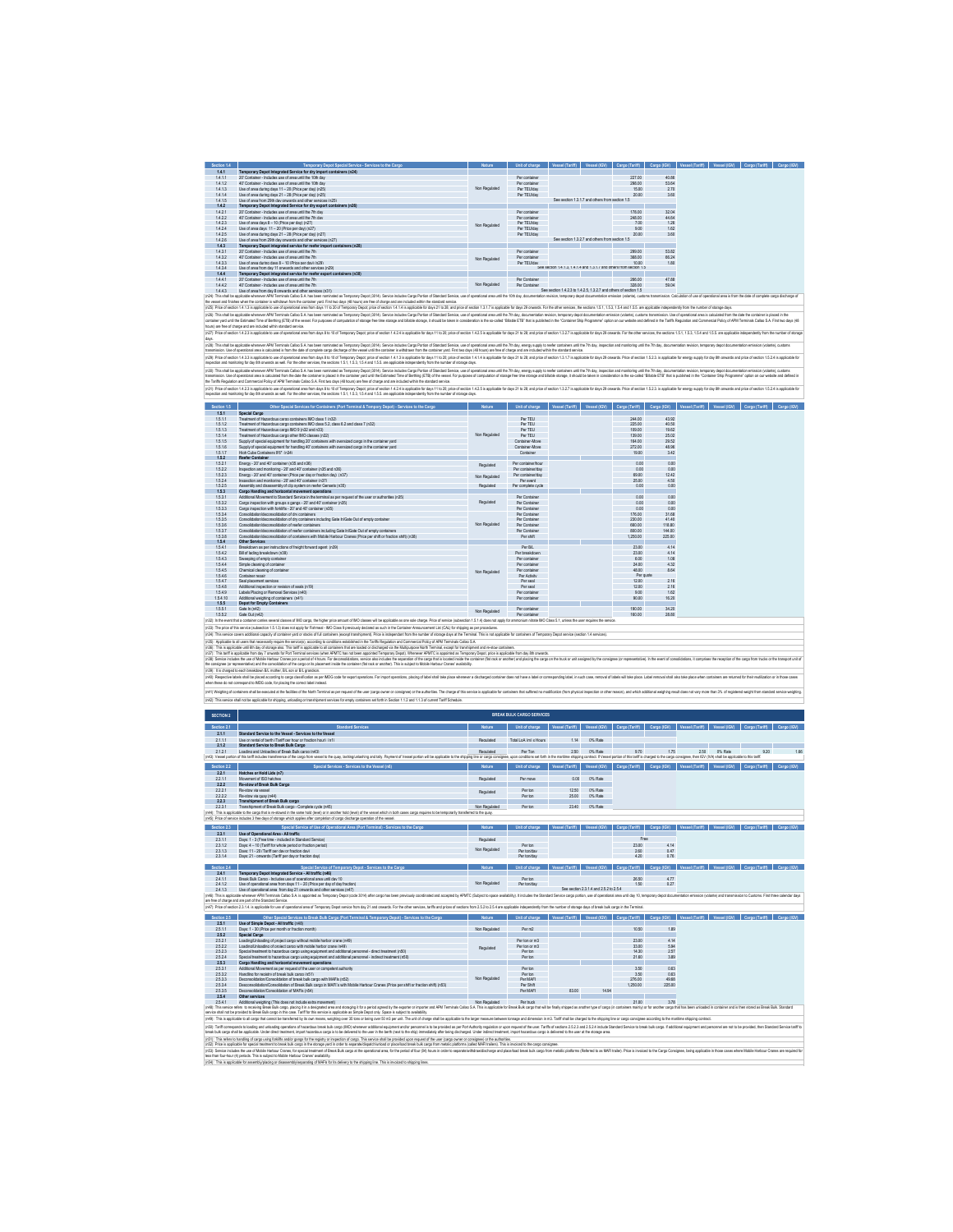| Section 1.4  | Temporary Depot Special Service - Services to the Cargo                                                                                                                                                                        | <b>Nature</b> | Unit of charge                   | <b>Vessel (Tariff)</b>                                              | Vessel (IGV)                                    | Cargo (Tariff)   | Cargo (IGV)    | Vessel (Tariff) | Vessel (IGV)<br>Cargo (Tariff) | Cargo (IGV) |
|--------------|--------------------------------------------------------------------------------------------------------------------------------------------------------------------------------------------------------------------------------|---------------|----------------------------------|---------------------------------------------------------------------|-------------------------------------------------|------------------|----------------|-----------------|--------------------------------|-------------|
| 141          | Temporary Depot Integrated Service for dry import containers (n24)                                                                                                                                                             |               |                                  |                                                                     |                                                 |                  |                |                 |                                |             |
| 1411         | 20' Container - Includes use of area until the 10th day.                                                                                                                                                                       |               | Per container                    |                                                                     |                                                 | 227.00           | 40.86          |                 |                                |             |
| 1412         | 40' Container - Includes use of area until the 10th day                                                                                                                                                                        |               | Per contained                    |                                                                     |                                                 | 298.00           | 53.64          |                 |                                |             |
| 1413         | Use of area during days 11 - 20 (Price per day) (n25)                                                                                                                                                                          | Non Regulated | Per TEUlday                      |                                                                     |                                                 | 15.00            | 2.70           |                 |                                |             |
| 1414         | Lise of area during days 21 - 28 (Price per day) (n25)                                                                                                                                                                         |               | Per TFI lider                    |                                                                     |                                                 | 20.00            | 3.60           |                 |                                |             |
| 1415         | Lise of area from 29th day onwards and other services (n25).                                                                                                                                                                   |               |                                  |                                                                     | See section 1.3.1.7 and others from section 1.5 |                  |                |                 |                                |             |
| 142          | Temporary Depot Integrated Service for dry export containers (n26)                                                                                                                                                             |               |                                  |                                                                     |                                                 |                  |                |                 |                                |             |
| 1.4.2.1      | 20' Container - Includes use of area until the 7th day                                                                                                                                                                         |               | Per contained                    |                                                                     |                                                 | 178.00           | 32.04          |                 |                                |             |
| 1422         | 40' Container - Includes use of area until the 7th day.                                                                                                                                                                        |               | Per container                    |                                                                     |                                                 | 248.00           | 44.64          |                 |                                |             |
| 1423         | Lise of area days 8 = 10 (Price nec day) (n27).                                                                                                                                                                                | Non Regulated | Per TELliday                     |                                                                     |                                                 | 7.00             | 126            |                 |                                |             |
| 1424         | Hse of acea days 11 - 20 (Price net day) (n27).                                                                                                                                                                                |               | Per TFI lider                    |                                                                     |                                                 | 9.00             | 162            |                 |                                |             |
| 1425         | Lise of acea during days 21 - 28 (Price per day) (n27).                                                                                                                                                                        |               | Per TFI lider                    |                                                                     |                                                 | 20.00            | 3.60           |                 |                                |             |
| 1426         | Use of area from 29th day onwards and other services (n27)                                                                                                                                                                     |               |                                  |                                                                     | See section 13.2.7 and others from section 1.5  |                  |                |                 |                                |             |
| 1.4.3        | Temporary Depot integrated service for reefer import containers (n28)                                                                                                                                                          |               |                                  |                                                                     |                                                 |                  |                |                 |                                |             |
| 1,43.1       | 20' Container - Includes use of area until the 7th                                                                                                                                                                             |               | Per container                    |                                                                     |                                                 | 299.00           | 53.82          |                 |                                |             |
| 1432         | 40° Container - Includes use of area until the 7th                                                                                                                                                                             | Non Regulated | Per contained                    |                                                                     |                                                 | 368.00           | 68.24          |                 |                                |             |
| 1433         | Use of area during days 8 - 10 (Price per day) (n29)                                                                                                                                                                           |               | Per TFI liders                   |                                                                     |                                                 | 10.00            | 180            |                 |                                |             |
| 1434         | Use of asea from day 11 cowards and other services (n29).                                                                                                                                                                      |               |                                  | See section 1.4.1.3.1.4.1.4 and 1.3.1.7 and others from section 1.6 |                                                 |                  |                |                 |                                |             |
| 144          | Temporary Depot integrated service for reefer export containers (n30)                                                                                                                                                          |               |                                  |                                                                     |                                                 |                  |                |                 |                                |             |
| 1441         | 20' Container - Includes use of area until the 7th                                                                                                                                                                             |               | Per Container                    |                                                                     |                                                 | 266.00           | 4788           |                 |                                |             |
| 1442         | 40' Container - Includes use of area until the 7th                                                                                                                                                                             | Non Regulated | Per Container                    |                                                                     |                                                 | 328.00           | 69.04          |                 |                                |             |
| 1443         | Use of area from day 8 onwards and other services (n31)                                                                                                                                                                        |               |                                  | See section 1423 to 1425 1327 and others of section 15.             |                                                 |                  |                |                 |                                |             |
|              | In241: This shall be accelcable whenever APM Terminals Callao S.A has been nominated as Temporary Depot (3014). Service includes Caroo Portion of Standard Service, use of coemploral awa until the 10th day, documentation my |               |                                  |                                                                     |                                                 |                  |                |                 |                                |             |
|              | the vessel and finishes when the container is withdrawn from the container vard. First two days (48 hours) are free of charge and are included within the standard service.                                                    |               |                                  |                                                                     |                                                 |                  |                |                 |                                |             |
|              | (n25): Price of section 1.4.1.3 is applicable to use of operational areas from days 11 to 20 of Temporary Depot; price of section 1.4.1.4 is applicable for days 21 to 28; and price of section 1.3.1.7 is applicable for days |               |                                  |                                                                     |                                                 |                  |                |                 |                                |             |
|              | In261 This shall be acclicable whenever APM Terminals Callao S.A has been nominated as Temporary Decot (3014). Service includes Caroo Portion of Standard Service, use of coerational area until the 7th day, documentation re |               |                                  |                                                                     |                                                 |                  |                |                 |                                |             |
|              | container vard until the Estimated Time of Berthino (ETB) of the vessel. For ourcoses of correctation of storage free time storage in a finance. As foculate barace, it should be taken in consideration is the so-called 'Bil |               |                                  |                                                                     |                                                 |                  |                |                 |                                |             |
|              |                                                                                                                                                                                                                                |               |                                  |                                                                     |                                                 |                  |                |                 |                                |             |
|              | hours) are free of charge and are included within standard service.                                                                                                                                                            |               |                                  |                                                                     |                                                 |                  |                |                 |                                |             |
|              |                                                                                                                                                                                                                                |               |                                  |                                                                     |                                                 |                  |                |                 |                                |             |
| days.        | In27): Price of section 1.4.2.3 is applicable to use of coerational area from days 8 to 10 of Terrorismy Depot orice of section 1.4.2.4 is applicable to days 11 to 20; orice of section 1.4.2.5 is applicable for days 21 to  |               |                                  |                                                                     |                                                 |                  |                |                 |                                |             |
|              |                                                                                                                                                                                                                                |               |                                  |                                                                     |                                                 |                  |                |                 |                                |             |
|              | in28: This shall be applicable whenever APM Terminals Callao S.A. has been rominated as Temporary Depot (3014). Service includes Caroo Portion of Standard Service, use of operational area until the 7th day, research to ent |               |                                  |                                                                     |                                                 |                  |                |                 |                                |             |
|              | transmission. Use of coerational area is calculated is from the date of complete cargo discharge of the vessel until the container is withdrawn from the container ward. First two days (48 hours) are free of charge and are  |               |                                  |                                                                     |                                                 |                  |                |                 |                                |             |
|              | in29): Price of section 1.4.3.3 is applicable to use of coanational area from days 8 to 10 of Terrororay Depot: orice of section 1.4.1.3 is applicable for days 11 to 20: orice of section 11.4.1 a applicable for days 21 to  |               |                                  |                                                                     |                                                 |                  |                |                 |                                |             |
|              | inspection and monitoring for day 8th onwards as well. For the other services, the sections 1.5.1.1.5.3.1.5.4 and 1.5.5, are applicable independently from the number of storage days.                                         |               |                                  |                                                                     |                                                 |                  |                |                 |                                |             |
|              | in301: This shall be acclicable whenever APM Terminals Callao S.A has been nominated as Temporary Depot (3014). Service includes Cargo Portion of Standard Service, use of coerational area until the 7th day, inspection and  |               |                                  |                                                                     |                                                 |                  |                |                 |                                |             |
|              | transmission. Use of operational area is calculated from the date the container is placed in the container is placed in the container yard until the Estimated Time of Berthing (ETB) of the vessel. For purposes of computati |               |                                  |                                                                     |                                                 |                  |                |                 |                                |             |
|              | the Tariffs Regulation and Commercial Policy of APM Terminals Callao S.A. First two days (48 hours) are free of charge and are included within the standard service.                                                           |               |                                  |                                                                     |                                                 |                  |                |                 |                                |             |
|              | in31): Price of section 1.42.3 is acclicable to use of coarational area from days 8 to 10 of Terrecorary Depot: orice of section 1.4.2.4 is acclicable for days 11 to 20: orice of section 11.42.5 is acclicable for days 21 t |               |                                  |                                                                     |                                                 |                  |                |                 |                                |             |
|              | inspection and monitoring for day 8th onwards as well. For the other services, the sections 1.5.1, 1.5.3, 1.5.4 and 1.5.5. are applicable independently from the number of storage days.                                       |               |                                  |                                                                     |                                                 |                  |                |                 |                                |             |
|              |                                                                                                                                                                                                                                |               |                                  |                                                                     |                                                 |                  |                |                 |                                |             |
| Section 1.5  | Other Special Services for Containers (Port Terminal & Tempory Depot) - Services to the Cargo                                                                                                                                  | Nature        | Unit of charge                   | Vessel (Tariff)                                                     | Vessel (IGV)                                    | Cargo (Tariff)   | Cargo (IGV)    | Vessel (Tariff) | Vessel (IGV) Cargo (Tariff)    | Carno (KW)  |
| 151          | Special Carno                                                                                                                                                                                                                  |               |                                  |                                                                     |                                                 |                  |                |                 |                                |             |
| 1511         | Treatment of Hazardous camp containers IMO class 1 (n32).                                                                                                                                                                      |               | Per TFLI                         |                                                                     |                                                 | 244.00           | 43.92          |                 |                                |             |
| 1512         | Treatment of Hazardous carno containers IMO class 6.2 class 6.2 and class 7 (n32).                                                                                                                                             |               | Per TFLI                         |                                                                     |                                                 | 225.00           | 40.50          |                 |                                |             |
| 1513         | Treatment of Hazardous camp IMO 9 (n32 and n33).                                                                                                                                                                               |               | Per TFLI                         |                                                                     |                                                 | 109.00           | 19.62          |                 |                                |             |
| 1514         | Treatment of Hazardous camp other IMO classes (n32).                                                                                                                                                                           | Non Regulated | Per TFLI                         |                                                                     |                                                 | 139.00           | 25.02          |                 |                                |             |
| 1616<br>1516 | Supply of special equipment for handling 20" containers with oversized cargo in the container vard<br>Supply of special equipment for bandling 40' containers with questized canno in the container vard                       |               | Container-Move<br>Container-Move |                                                                     |                                                 | 164.00<br>272.00 | 29.52<br>48.96 |                 |                                |             |

| 225.00<br>1512<br>Treatment of Hazardous carno containers IMO class 6.2 class 6.2 and class 7 (n32)<br>Per TFLI<br>Per TEU<br>109.00<br>1613<br>Treatment of Hazardous camp IMO 9 (n32 and n33).<br>Non Regulated<br>Treatment of Hazardous camp other IMO classes (n32)<br>Per TFLI<br>139.00<br>1614<br>1.5.1.5<br>Container-Move<br>164.00<br>Supply of special equipment for handling 20" containers with oversized cargo in the container vard<br>1516<br>Container-Move<br>272.00<br>Supply of special equipment for handling 40' containers with oversized cargo in the container vard<br>Container<br>1517<br>High Cube Containers 9'6" (n34)<br>19.00<br>152<br><b>Reefer Container</b><br>1.5.2.1<br>Forcey - 20' and 40' container (n36 and n36).<br>0.00<br>Per contained bour<br>Regulated<br>1.522<br>Inspection and monitoring - 20" and 40" container (n35 and n36)<br>Per contained day<br>0.00<br>1.523<br>Forcey - 20' and 40' container (Price per day or fraction day) (637).<br>69.00<br>Per container/day<br>Non Regulated<br>1524<br>Inspection and monitoring - 20" and 40" container (n37).<br>25.00<br>Per event<br>1525<br>Assembly and disassembly of clin system on regier Gensets (n35).<br>Requisied<br>Per complete cycle<br>0.00<br>153<br>Carno Handling and borizontal movement operations<br>1.5.3.1<br>Additional Movement to Standard Service in the terminal as per request of the user or authorities (n35)<br>Per Container<br>0.00<br>Regulated<br>Per Container<br>0.00<br>1.532<br>Caron inspection with groups o gangs - 20" and 40" container (p35).<br>Caron inspection with forklifts - 20' and 40' container (n35).<br>Per Container<br>1633<br>0.00<br>Per Container<br>1.53.4<br>Consolidation ideographication of dry containers.<br>176.00<br>Per Container<br>1535<br>Consolidation/deconsolidation of dry containers including Gate In/Gate Out of empty container<br>230.00<br>Consolidation ideographication of reefer containers.<br>Non Regulated<br>Per Container<br>1536<br>680.00<br>1537<br>Consolidation ideoposolidation of reefer containers including Gate In Gate Out of empty containers.<br>Per Container<br>800.00<br>Consolidation ideographication of containers with Mobile Harbour Coapes (Price per shift or fraction shift) (p38)<br>Par shift<br>1538<br>1.250.00<br>154<br>Other Services<br>1541<br>Rossistown as nec instructions of freight forward agent (639).<br>Per R/I<br>23.00<br>1.542<br>Bill of lading breakdown (n39)<br>Per hreakdown<br>23.00<br>1543<br>Sweeping of emply contained<br>Per container<br>6.00<br>1544<br>Simple cleaning of container<br>Per container<br>24.00<br>48.00<br>1646<br>Chemical cleaning of container<br>Per container<br>Non Regulated<br>Pergunte<br>1546<br>Container repair<br>Per Artisty<br>Per seal<br>1.5.4.7<br>1200<br>Seal placement services<br>1548<br>Additional inspection or revision of seals (n19)<br>Per seal<br>12.00<br>1549<br>Labels Placing or Removal Secvices (n40)<br>Per container<br>9.00<br>90.00<br>1.5.4.10<br>Additional weighing of containers (n41).<br>Per container<br>155<br><b>Depot for Empty Containers</b><br>1.5.5.1<br>190.00<br>Gate in (n42)<br>Per container<br>Non Regulated<br>Per container<br>Gate Out (nd2)<br>160.00<br>1662<br>in32: In the event that a container carries several classes of MO carco, the higher orice amount of MO classes will be applicable as one sole charge. Price of service (subsection 1.5.1.4) does not apply the ammonium nitrat<br>In33): The price of this service (subsection 1.5.1.3) does not apply for Fishmeal - MO Class 9 previously declared as such in the Container Announcement List (CAL) for shipping as per procedures.<br>(SI). This annon automatical angular distribution yers and as a fluid and an interest product from the company of the formula This instigation to content of temporary Deptention of temporary Deptention of temporary Deptent<br>in35: Applicable to all users that necessarily require the service(s), according to conditions established in the Tariffs Requisition and Commercial Policy of APM Terminals Callao S.A.<br>(n36): This is applicable until 6th day of storage also. This tariff is applicable to all containers that are loaded or discharged via the Multipurpose North Terminal, except for transhipment and re-stow containers.<br>(n37). This tanfilis applicable from day 7 cewards for Port Terminal services (when APMTC has not been appointed Temporary Depot), Whenever APMTC is appointed as Temporary Depot, price is applicable from day 8th onwards.<br>(r38): Service includes the use of Mcbile Harbour Crames por a period of 4 hours. For decorrecidedions, service also includes the separation of the cargo that is located incident (tak mole creation of the carga that is con |  |  |  |        |
|-----------------------------------------------------------------------------------------------------------------------------------------------------------------------------------------------------------------------------------------------------------------------------------------------------------------------------------------------------------------------------------------------------------------------------------------------------------------------------------------------------------------------------------------------------------------------------------------------------------------------------------------------------------------------------------------------------------------------------------------------------------------------------------------------------------------------------------------------------------------------------------------------------------------------------------------------------------------------------------------------------------------------------------------------------------------------------------------------------------------------------------------------------------------------------------------------------------------------------------------------------------------------------------------------------------------------------------------------------------------------------------------------------------------------------------------------------------------------------------------------------------------------------------------------------------------------------------------------------------------------------------------------------------------------------------------------------------------------------------------------------------------------------------------------------------------------------------------------------------------------------------------------------------------------------------------------------------------------------------------------------------------------------------------------------------------------------------------------------------------------------------------------------------------------------------------------------------------------------------------------------------------------------------------------------------------------------------------------------------------------------------------------------------------------------------------------------------------------------------------------------------------------------------------------------------------------------------------------------------------------------------------------------------------------------------------------------------------------------------------------------------------------------------------------------------------------------------------------------------------------------------------------------------------------------------------------------------------------------------------------------------------------------------------------------------------------------------------------------------------------------------------------------------------------------------------------------------------------------------------------------------------------------------------------------------------------------------------------------------------------------------------------------------------------------------------------------------------------------------------------------------------------------------------------------------------------------------------------------------------------------------------------------------------------------------------------------------------------------------------------------------------------------------------------------------------------------------------------------------------------------------------------------------------------------------------------------------------------------------------------------------------------------------------------------------------------------------------------------------------------------------------------------------------------------------------------------------------------------------------------------------------------------------------------------------------------------------------------------------------------------------------------------------------------------------------------------------------------------------------------------------------------------------------------------------------------------------------------------------------------------------------------------------------------------------------------------------------------------------------------------------------------------------------------------------------------------------------------------------------------------------|--|--|--|--------|
|                                                                                                                                                                                                                                                                                                                                                                                                                                                                                                                                                                                                                                                                                                                                                                                                                                                                                                                                                                                                                                                                                                                                                                                                                                                                                                                                                                                                                                                                                                                                                                                                                                                                                                                                                                                                                                                                                                                                                                                                                                                                                                                                                                                                                                                                                                                                                                                                                                                                                                                                                                                                                                                                                                                                                                                                                                                                                                                                                                                                                                                                                                                                                                                                                                                                                                                                                                                                                                                                                                                                                                                                                                                                                                                                                                                                                                                                                                                                                                                                                                                                                                                                                                                                                                                                                                                                                                                                                                                                                                                                                                                                                                                                                                                                                                                                                                                                                   |  |  |  | 40.50  |
|                                                                                                                                                                                                                                                                                                                                                                                                                                                                                                                                                                                                                                                                                                                                                                                                                                                                                                                                                                                                                                                                                                                                                                                                                                                                                                                                                                                                                                                                                                                                                                                                                                                                                                                                                                                                                                                                                                                                                                                                                                                                                                                                                                                                                                                                                                                                                                                                                                                                                                                                                                                                                                                                                                                                                                                                                                                                                                                                                                                                                                                                                                                                                                                                                                                                                                                                                                                                                                                                                                                                                                                                                                                                                                                                                                                                                                                                                                                                                                                                                                                                                                                                                                                                                                                                                                                                                                                                                                                                                                                                                                                                                                                                                                                                                                                                                                                                                   |  |  |  | 1962   |
|                                                                                                                                                                                                                                                                                                                                                                                                                                                                                                                                                                                                                                                                                                                                                                                                                                                                                                                                                                                                                                                                                                                                                                                                                                                                                                                                                                                                                                                                                                                                                                                                                                                                                                                                                                                                                                                                                                                                                                                                                                                                                                                                                                                                                                                                                                                                                                                                                                                                                                                                                                                                                                                                                                                                                                                                                                                                                                                                                                                                                                                                                                                                                                                                                                                                                                                                                                                                                                                                                                                                                                                                                                                                                                                                                                                                                                                                                                                                                                                                                                                                                                                                                                                                                                                                                                                                                                                                                                                                                                                                                                                                                                                                                                                                                                                                                                                                                   |  |  |  | 25.02  |
|                                                                                                                                                                                                                                                                                                                                                                                                                                                                                                                                                                                                                                                                                                                                                                                                                                                                                                                                                                                                                                                                                                                                                                                                                                                                                                                                                                                                                                                                                                                                                                                                                                                                                                                                                                                                                                                                                                                                                                                                                                                                                                                                                                                                                                                                                                                                                                                                                                                                                                                                                                                                                                                                                                                                                                                                                                                                                                                                                                                                                                                                                                                                                                                                                                                                                                                                                                                                                                                                                                                                                                                                                                                                                                                                                                                                                                                                                                                                                                                                                                                                                                                                                                                                                                                                                                                                                                                                                                                                                                                                                                                                                                                                                                                                                                                                                                                                                   |  |  |  | 29.52  |
|                                                                                                                                                                                                                                                                                                                                                                                                                                                                                                                                                                                                                                                                                                                                                                                                                                                                                                                                                                                                                                                                                                                                                                                                                                                                                                                                                                                                                                                                                                                                                                                                                                                                                                                                                                                                                                                                                                                                                                                                                                                                                                                                                                                                                                                                                                                                                                                                                                                                                                                                                                                                                                                                                                                                                                                                                                                                                                                                                                                                                                                                                                                                                                                                                                                                                                                                                                                                                                                                                                                                                                                                                                                                                                                                                                                                                                                                                                                                                                                                                                                                                                                                                                                                                                                                                                                                                                                                                                                                                                                                                                                                                                                                                                                                                                                                                                                                                   |  |  |  | 48.96  |
|                                                                                                                                                                                                                                                                                                                                                                                                                                                                                                                                                                                                                                                                                                                                                                                                                                                                                                                                                                                                                                                                                                                                                                                                                                                                                                                                                                                                                                                                                                                                                                                                                                                                                                                                                                                                                                                                                                                                                                                                                                                                                                                                                                                                                                                                                                                                                                                                                                                                                                                                                                                                                                                                                                                                                                                                                                                                                                                                                                                                                                                                                                                                                                                                                                                                                                                                                                                                                                                                                                                                                                                                                                                                                                                                                                                                                                                                                                                                                                                                                                                                                                                                                                                                                                                                                                                                                                                                                                                                                                                                                                                                                                                                                                                                                                                                                                                                                   |  |  |  | 3.42   |
|                                                                                                                                                                                                                                                                                                                                                                                                                                                                                                                                                                                                                                                                                                                                                                                                                                                                                                                                                                                                                                                                                                                                                                                                                                                                                                                                                                                                                                                                                                                                                                                                                                                                                                                                                                                                                                                                                                                                                                                                                                                                                                                                                                                                                                                                                                                                                                                                                                                                                                                                                                                                                                                                                                                                                                                                                                                                                                                                                                                                                                                                                                                                                                                                                                                                                                                                                                                                                                                                                                                                                                                                                                                                                                                                                                                                                                                                                                                                                                                                                                                                                                                                                                                                                                                                                                                                                                                                                                                                                                                                                                                                                                                                                                                                                                                                                                                                                   |  |  |  |        |
|                                                                                                                                                                                                                                                                                                                                                                                                                                                                                                                                                                                                                                                                                                                                                                                                                                                                                                                                                                                                                                                                                                                                                                                                                                                                                                                                                                                                                                                                                                                                                                                                                                                                                                                                                                                                                                                                                                                                                                                                                                                                                                                                                                                                                                                                                                                                                                                                                                                                                                                                                                                                                                                                                                                                                                                                                                                                                                                                                                                                                                                                                                                                                                                                                                                                                                                                                                                                                                                                                                                                                                                                                                                                                                                                                                                                                                                                                                                                                                                                                                                                                                                                                                                                                                                                                                                                                                                                                                                                                                                                                                                                                                                                                                                                                                                                                                                                                   |  |  |  | 0.00   |
|                                                                                                                                                                                                                                                                                                                                                                                                                                                                                                                                                                                                                                                                                                                                                                                                                                                                                                                                                                                                                                                                                                                                                                                                                                                                                                                                                                                                                                                                                                                                                                                                                                                                                                                                                                                                                                                                                                                                                                                                                                                                                                                                                                                                                                                                                                                                                                                                                                                                                                                                                                                                                                                                                                                                                                                                                                                                                                                                                                                                                                                                                                                                                                                                                                                                                                                                                                                                                                                                                                                                                                                                                                                                                                                                                                                                                                                                                                                                                                                                                                                                                                                                                                                                                                                                                                                                                                                                                                                                                                                                                                                                                                                                                                                                                                                                                                                                                   |  |  |  | 0.00   |
|                                                                                                                                                                                                                                                                                                                                                                                                                                                                                                                                                                                                                                                                                                                                                                                                                                                                                                                                                                                                                                                                                                                                                                                                                                                                                                                                                                                                                                                                                                                                                                                                                                                                                                                                                                                                                                                                                                                                                                                                                                                                                                                                                                                                                                                                                                                                                                                                                                                                                                                                                                                                                                                                                                                                                                                                                                                                                                                                                                                                                                                                                                                                                                                                                                                                                                                                                                                                                                                                                                                                                                                                                                                                                                                                                                                                                                                                                                                                                                                                                                                                                                                                                                                                                                                                                                                                                                                                                                                                                                                                                                                                                                                                                                                                                                                                                                                                                   |  |  |  | 12.42  |
|                                                                                                                                                                                                                                                                                                                                                                                                                                                                                                                                                                                                                                                                                                                                                                                                                                                                                                                                                                                                                                                                                                                                                                                                                                                                                                                                                                                                                                                                                                                                                                                                                                                                                                                                                                                                                                                                                                                                                                                                                                                                                                                                                                                                                                                                                                                                                                                                                                                                                                                                                                                                                                                                                                                                                                                                                                                                                                                                                                                                                                                                                                                                                                                                                                                                                                                                                                                                                                                                                                                                                                                                                                                                                                                                                                                                                                                                                                                                                                                                                                                                                                                                                                                                                                                                                                                                                                                                                                                                                                                                                                                                                                                                                                                                                                                                                                                                                   |  |  |  | 4.50   |
|                                                                                                                                                                                                                                                                                                                                                                                                                                                                                                                                                                                                                                                                                                                                                                                                                                                                                                                                                                                                                                                                                                                                                                                                                                                                                                                                                                                                                                                                                                                                                                                                                                                                                                                                                                                                                                                                                                                                                                                                                                                                                                                                                                                                                                                                                                                                                                                                                                                                                                                                                                                                                                                                                                                                                                                                                                                                                                                                                                                                                                                                                                                                                                                                                                                                                                                                                                                                                                                                                                                                                                                                                                                                                                                                                                                                                                                                                                                                                                                                                                                                                                                                                                                                                                                                                                                                                                                                                                                                                                                                                                                                                                                                                                                                                                                                                                                                                   |  |  |  | 0.00   |
|                                                                                                                                                                                                                                                                                                                                                                                                                                                                                                                                                                                                                                                                                                                                                                                                                                                                                                                                                                                                                                                                                                                                                                                                                                                                                                                                                                                                                                                                                                                                                                                                                                                                                                                                                                                                                                                                                                                                                                                                                                                                                                                                                                                                                                                                                                                                                                                                                                                                                                                                                                                                                                                                                                                                                                                                                                                                                                                                                                                                                                                                                                                                                                                                                                                                                                                                                                                                                                                                                                                                                                                                                                                                                                                                                                                                                                                                                                                                                                                                                                                                                                                                                                                                                                                                                                                                                                                                                                                                                                                                                                                                                                                                                                                                                                                                                                                                                   |  |  |  |        |
|                                                                                                                                                                                                                                                                                                                                                                                                                                                                                                                                                                                                                                                                                                                                                                                                                                                                                                                                                                                                                                                                                                                                                                                                                                                                                                                                                                                                                                                                                                                                                                                                                                                                                                                                                                                                                                                                                                                                                                                                                                                                                                                                                                                                                                                                                                                                                                                                                                                                                                                                                                                                                                                                                                                                                                                                                                                                                                                                                                                                                                                                                                                                                                                                                                                                                                                                                                                                                                                                                                                                                                                                                                                                                                                                                                                                                                                                                                                                                                                                                                                                                                                                                                                                                                                                                                                                                                                                                                                                                                                                                                                                                                                                                                                                                                                                                                                                                   |  |  |  | 0.00   |
|                                                                                                                                                                                                                                                                                                                                                                                                                                                                                                                                                                                                                                                                                                                                                                                                                                                                                                                                                                                                                                                                                                                                                                                                                                                                                                                                                                                                                                                                                                                                                                                                                                                                                                                                                                                                                                                                                                                                                                                                                                                                                                                                                                                                                                                                                                                                                                                                                                                                                                                                                                                                                                                                                                                                                                                                                                                                                                                                                                                                                                                                                                                                                                                                                                                                                                                                                                                                                                                                                                                                                                                                                                                                                                                                                                                                                                                                                                                                                                                                                                                                                                                                                                                                                                                                                                                                                                                                                                                                                                                                                                                                                                                                                                                                                                                                                                                                                   |  |  |  | 0.00   |
|                                                                                                                                                                                                                                                                                                                                                                                                                                                                                                                                                                                                                                                                                                                                                                                                                                                                                                                                                                                                                                                                                                                                                                                                                                                                                                                                                                                                                                                                                                                                                                                                                                                                                                                                                                                                                                                                                                                                                                                                                                                                                                                                                                                                                                                                                                                                                                                                                                                                                                                                                                                                                                                                                                                                                                                                                                                                                                                                                                                                                                                                                                                                                                                                                                                                                                                                                                                                                                                                                                                                                                                                                                                                                                                                                                                                                                                                                                                                                                                                                                                                                                                                                                                                                                                                                                                                                                                                                                                                                                                                                                                                                                                                                                                                                                                                                                                                                   |  |  |  | 0.00   |
|                                                                                                                                                                                                                                                                                                                                                                                                                                                                                                                                                                                                                                                                                                                                                                                                                                                                                                                                                                                                                                                                                                                                                                                                                                                                                                                                                                                                                                                                                                                                                                                                                                                                                                                                                                                                                                                                                                                                                                                                                                                                                                                                                                                                                                                                                                                                                                                                                                                                                                                                                                                                                                                                                                                                                                                                                                                                                                                                                                                                                                                                                                                                                                                                                                                                                                                                                                                                                                                                                                                                                                                                                                                                                                                                                                                                                                                                                                                                                                                                                                                                                                                                                                                                                                                                                                                                                                                                                                                                                                                                                                                                                                                                                                                                                                                                                                                                                   |  |  |  | 31.68  |
|                                                                                                                                                                                                                                                                                                                                                                                                                                                                                                                                                                                                                                                                                                                                                                                                                                                                                                                                                                                                                                                                                                                                                                                                                                                                                                                                                                                                                                                                                                                                                                                                                                                                                                                                                                                                                                                                                                                                                                                                                                                                                                                                                                                                                                                                                                                                                                                                                                                                                                                                                                                                                                                                                                                                                                                                                                                                                                                                                                                                                                                                                                                                                                                                                                                                                                                                                                                                                                                                                                                                                                                                                                                                                                                                                                                                                                                                                                                                                                                                                                                                                                                                                                                                                                                                                                                                                                                                                                                                                                                                                                                                                                                                                                                                                                                                                                                                                   |  |  |  | 41.40  |
|                                                                                                                                                                                                                                                                                                                                                                                                                                                                                                                                                                                                                                                                                                                                                                                                                                                                                                                                                                                                                                                                                                                                                                                                                                                                                                                                                                                                                                                                                                                                                                                                                                                                                                                                                                                                                                                                                                                                                                                                                                                                                                                                                                                                                                                                                                                                                                                                                                                                                                                                                                                                                                                                                                                                                                                                                                                                                                                                                                                                                                                                                                                                                                                                                                                                                                                                                                                                                                                                                                                                                                                                                                                                                                                                                                                                                                                                                                                                                                                                                                                                                                                                                                                                                                                                                                                                                                                                                                                                                                                                                                                                                                                                                                                                                                                                                                                                                   |  |  |  | 118.80 |
|                                                                                                                                                                                                                                                                                                                                                                                                                                                                                                                                                                                                                                                                                                                                                                                                                                                                                                                                                                                                                                                                                                                                                                                                                                                                                                                                                                                                                                                                                                                                                                                                                                                                                                                                                                                                                                                                                                                                                                                                                                                                                                                                                                                                                                                                                                                                                                                                                                                                                                                                                                                                                                                                                                                                                                                                                                                                                                                                                                                                                                                                                                                                                                                                                                                                                                                                                                                                                                                                                                                                                                                                                                                                                                                                                                                                                                                                                                                                                                                                                                                                                                                                                                                                                                                                                                                                                                                                                                                                                                                                                                                                                                                                                                                                                                                                                                                                                   |  |  |  | 144.00 |
|                                                                                                                                                                                                                                                                                                                                                                                                                                                                                                                                                                                                                                                                                                                                                                                                                                                                                                                                                                                                                                                                                                                                                                                                                                                                                                                                                                                                                                                                                                                                                                                                                                                                                                                                                                                                                                                                                                                                                                                                                                                                                                                                                                                                                                                                                                                                                                                                                                                                                                                                                                                                                                                                                                                                                                                                                                                                                                                                                                                                                                                                                                                                                                                                                                                                                                                                                                                                                                                                                                                                                                                                                                                                                                                                                                                                                                                                                                                                                                                                                                                                                                                                                                                                                                                                                                                                                                                                                                                                                                                                                                                                                                                                                                                                                                                                                                                                                   |  |  |  | 225.00 |
|                                                                                                                                                                                                                                                                                                                                                                                                                                                                                                                                                                                                                                                                                                                                                                                                                                                                                                                                                                                                                                                                                                                                                                                                                                                                                                                                                                                                                                                                                                                                                                                                                                                                                                                                                                                                                                                                                                                                                                                                                                                                                                                                                                                                                                                                                                                                                                                                                                                                                                                                                                                                                                                                                                                                                                                                                                                                                                                                                                                                                                                                                                                                                                                                                                                                                                                                                                                                                                                                                                                                                                                                                                                                                                                                                                                                                                                                                                                                                                                                                                                                                                                                                                                                                                                                                                                                                                                                                                                                                                                                                                                                                                                                                                                                                                                                                                                                                   |  |  |  |        |
|                                                                                                                                                                                                                                                                                                                                                                                                                                                                                                                                                                                                                                                                                                                                                                                                                                                                                                                                                                                                                                                                                                                                                                                                                                                                                                                                                                                                                                                                                                                                                                                                                                                                                                                                                                                                                                                                                                                                                                                                                                                                                                                                                                                                                                                                                                                                                                                                                                                                                                                                                                                                                                                                                                                                                                                                                                                                                                                                                                                                                                                                                                                                                                                                                                                                                                                                                                                                                                                                                                                                                                                                                                                                                                                                                                                                                                                                                                                                                                                                                                                                                                                                                                                                                                                                                                                                                                                                                                                                                                                                                                                                                                                                                                                                                                                                                                                                                   |  |  |  | 4.14   |
|                                                                                                                                                                                                                                                                                                                                                                                                                                                                                                                                                                                                                                                                                                                                                                                                                                                                                                                                                                                                                                                                                                                                                                                                                                                                                                                                                                                                                                                                                                                                                                                                                                                                                                                                                                                                                                                                                                                                                                                                                                                                                                                                                                                                                                                                                                                                                                                                                                                                                                                                                                                                                                                                                                                                                                                                                                                                                                                                                                                                                                                                                                                                                                                                                                                                                                                                                                                                                                                                                                                                                                                                                                                                                                                                                                                                                                                                                                                                                                                                                                                                                                                                                                                                                                                                                                                                                                                                                                                                                                                                                                                                                                                                                                                                                                                                                                                                                   |  |  |  | 4.14   |
|                                                                                                                                                                                                                                                                                                                                                                                                                                                                                                                                                                                                                                                                                                                                                                                                                                                                                                                                                                                                                                                                                                                                                                                                                                                                                                                                                                                                                                                                                                                                                                                                                                                                                                                                                                                                                                                                                                                                                                                                                                                                                                                                                                                                                                                                                                                                                                                                                                                                                                                                                                                                                                                                                                                                                                                                                                                                                                                                                                                                                                                                                                                                                                                                                                                                                                                                                                                                                                                                                                                                                                                                                                                                                                                                                                                                                                                                                                                                                                                                                                                                                                                                                                                                                                                                                                                                                                                                                                                                                                                                                                                                                                                                                                                                                                                                                                                                                   |  |  |  | 1.08   |
|                                                                                                                                                                                                                                                                                                                                                                                                                                                                                                                                                                                                                                                                                                                                                                                                                                                                                                                                                                                                                                                                                                                                                                                                                                                                                                                                                                                                                                                                                                                                                                                                                                                                                                                                                                                                                                                                                                                                                                                                                                                                                                                                                                                                                                                                                                                                                                                                                                                                                                                                                                                                                                                                                                                                                                                                                                                                                                                                                                                                                                                                                                                                                                                                                                                                                                                                                                                                                                                                                                                                                                                                                                                                                                                                                                                                                                                                                                                                                                                                                                                                                                                                                                                                                                                                                                                                                                                                                                                                                                                                                                                                                                                                                                                                                                                                                                                                                   |  |  |  | 432    |
|                                                                                                                                                                                                                                                                                                                                                                                                                                                                                                                                                                                                                                                                                                                                                                                                                                                                                                                                                                                                                                                                                                                                                                                                                                                                                                                                                                                                                                                                                                                                                                                                                                                                                                                                                                                                                                                                                                                                                                                                                                                                                                                                                                                                                                                                                                                                                                                                                                                                                                                                                                                                                                                                                                                                                                                                                                                                                                                                                                                                                                                                                                                                                                                                                                                                                                                                                                                                                                                                                                                                                                                                                                                                                                                                                                                                                                                                                                                                                                                                                                                                                                                                                                                                                                                                                                                                                                                                                                                                                                                                                                                                                                                                                                                                                                                                                                                                                   |  |  |  | 864    |
|                                                                                                                                                                                                                                                                                                                                                                                                                                                                                                                                                                                                                                                                                                                                                                                                                                                                                                                                                                                                                                                                                                                                                                                                                                                                                                                                                                                                                                                                                                                                                                                                                                                                                                                                                                                                                                                                                                                                                                                                                                                                                                                                                                                                                                                                                                                                                                                                                                                                                                                                                                                                                                                                                                                                                                                                                                                                                                                                                                                                                                                                                                                                                                                                                                                                                                                                                                                                                                                                                                                                                                                                                                                                                                                                                                                                                                                                                                                                                                                                                                                                                                                                                                                                                                                                                                                                                                                                                                                                                                                                                                                                                                                                                                                                                                                                                                                                                   |  |  |  |        |
|                                                                                                                                                                                                                                                                                                                                                                                                                                                                                                                                                                                                                                                                                                                                                                                                                                                                                                                                                                                                                                                                                                                                                                                                                                                                                                                                                                                                                                                                                                                                                                                                                                                                                                                                                                                                                                                                                                                                                                                                                                                                                                                                                                                                                                                                                                                                                                                                                                                                                                                                                                                                                                                                                                                                                                                                                                                                                                                                                                                                                                                                                                                                                                                                                                                                                                                                                                                                                                                                                                                                                                                                                                                                                                                                                                                                                                                                                                                                                                                                                                                                                                                                                                                                                                                                                                                                                                                                                                                                                                                                                                                                                                                                                                                                                                                                                                                                                   |  |  |  | 2.16   |
|                                                                                                                                                                                                                                                                                                                                                                                                                                                                                                                                                                                                                                                                                                                                                                                                                                                                                                                                                                                                                                                                                                                                                                                                                                                                                                                                                                                                                                                                                                                                                                                                                                                                                                                                                                                                                                                                                                                                                                                                                                                                                                                                                                                                                                                                                                                                                                                                                                                                                                                                                                                                                                                                                                                                                                                                                                                                                                                                                                                                                                                                                                                                                                                                                                                                                                                                                                                                                                                                                                                                                                                                                                                                                                                                                                                                                                                                                                                                                                                                                                                                                                                                                                                                                                                                                                                                                                                                                                                                                                                                                                                                                                                                                                                                                                                                                                                                                   |  |  |  | 2.16   |
|                                                                                                                                                                                                                                                                                                                                                                                                                                                                                                                                                                                                                                                                                                                                                                                                                                                                                                                                                                                                                                                                                                                                                                                                                                                                                                                                                                                                                                                                                                                                                                                                                                                                                                                                                                                                                                                                                                                                                                                                                                                                                                                                                                                                                                                                                                                                                                                                                                                                                                                                                                                                                                                                                                                                                                                                                                                                                                                                                                                                                                                                                                                                                                                                                                                                                                                                                                                                                                                                                                                                                                                                                                                                                                                                                                                                                                                                                                                                                                                                                                                                                                                                                                                                                                                                                                                                                                                                                                                                                                                                                                                                                                                                                                                                                                                                                                                                                   |  |  |  | 1.62   |
|                                                                                                                                                                                                                                                                                                                                                                                                                                                                                                                                                                                                                                                                                                                                                                                                                                                                                                                                                                                                                                                                                                                                                                                                                                                                                                                                                                                                                                                                                                                                                                                                                                                                                                                                                                                                                                                                                                                                                                                                                                                                                                                                                                                                                                                                                                                                                                                                                                                                                                                                                                                                                                                                                                                                                                                                                                                                                                                                                                                                                                                                                                                                                                                                                                                                                                                                                                                                                                                                                                                                                                                                                                                                                                                                                                                                                                                                                                                                                                                                                                                                                                                                                                                                                                                                                                                                                                                                                                                                                                                                                                                                                                                                                                                                                                                                                                                                                   |  |  |  | 16.20  |
|                                                                                                                                                                                                                                                                                                                                                                                                                                                                                                                                                                                                                                                                                                                                                                                                                                                                                                                                                                                                                                                                                                                                                                                                                                                                                                                                                                                                                                                                                                                                                                                                                                                                                                                                                                                                                                                                                                                                                                                                                                                                                                                                                                                                                                                                                                                                                                                                                                                                                                                                                                                                                                                                                                                                                                                                                                                                                                                                                                                                                                                                                                                                                                                                                                                                                                                                                                                                                                                                                                                                                                                                                                                                                                                                                                                                                                                                                                                                                                                                                                                                                                                                                                                                                                                                                                                                                                                                                                                                                                                                                                                                                                                                                                                                                                                                                                                                                   |  |  |  |        |
|                                                                                                                                                                                                                                                                                                                                                                                                                                                                                                                                                                                                                                                                                                                                                                                                                                                                                                                                                                                                                                                                                                                                                                                                                                                                                                                                                                                                                                                                                                                                                                                                                                                                                                                                                                                                                                                                                                                                                                                                                                                                                                                                                                                                                                                                                                                                                                                                                                                                                                                                                                                                                                                                                                                                                                                                                                                                                                                                                                                                                                                                                                                                                                                                                                                                                                                                                                                                                                                                                                                                                                                                                                                                                                                                                                                                                                                                                                                                                                                                                                                                                                                                                                                                                                                                                                                                                                                                                                                                                                                                                                                                                                                                                                                                                                                                                                                                                   |  |  |  | 34.20  |
|                                                                                                                                                                                                                                                                                                                                                                                                                                                                                                                                                                                                                                                                                                                                                                                                                                                                                                                                                                                                                                                                                                                                                                                                                                                                                                                                                                                                                                                                                                                                                                                                                                                                                                                                                                                                                                                                                                                                                                                                                                                                                                                                                                                                                                                                                                                                                                                                                                                                                                                                                                                                                                                                                                                                                                                                                                                                                                                                                                                                                                                                                                                                                                                                                                                                                                                                                                                                                                                                                                                                                                                                                                                                                                                                                                                                                                                                                                                                                                                                                                                                                                                                                                                                                                                                                                                                                                                                                                                                                                                                                                                                                                                                                                                                                                                                                                                                                   |  |  |  | 28.80  |
|                                                                                                                                                                                                                                                                                                                                                                                                                                                                                                                                                                                                                                                                                                                                                                                                                                                                                                                                                                                                                                                                                                                                                                                                                                                                                                                                                                                                                                                                                                                                                                                                                                                                                                                                                                                                                                                                                                                                                                                                                                                                                                                                                                                                                                                                                                                                                                                                                                                                                                                                                                                                                                                                                                                                                                                                                                                                                                                                                                                                                                                                                                                                                                                                                                                                                                                                                                                                                                                                                                                                                                                                                                                                                                                                                                                                                                                                                                                                                                                                                                                                                                                                                                                                                                                                                                                                                                                                                                                                                                                                                                                                                                                                                                                                                                                                                                                                                   |  |  |  |        |
|                                                                                                                                                                                                                                                                                                                                                                                                                                                                                                                                                                                                                                                                                                                                                                                                                                                                                                                                                                                                                                                                                                                                                                                                                                                                                                                                                                                                                                                                                                                                                                                                                                                                                                                                                                                                                                                                                                                                                                                                                                                                                                                                                                                                                                                                                                                                                                                                                                                                                                                                                                                                                                                                                                                                                                                                                                                                                                                                                                                                                                                                                                                                                                                                                                                                                                                                                                                                                                                                                                                                                                                                                                                                                                                                                                                                                                                                                                                                                                                                                                                                                                                                                                                                                                                                                                                                                                                                                                                                                                                                                                                                                                                                                                                                                                                                                                                                                   |  |  |  |        |
|                                                                                                                                                                                                                                                                                                                                                                                                                                                                                                                                                                                                                                                                                                                                                                                                                                                                                                                                                                                                                                                                                                                                                                                                                                                                                                                                                                                                                                                                                                                                                                                                                                                                                                                                                                                                                                                                                                                                                                                                                                                                                                                                                                                                                                                                                                                                                                                                                                                                                                                                                                                                                                                                                                                                                                                                                                                                                                                                                                                                                                                                                                                                                                                                                                                                                                                                                                                                                                                                                                                                                                                                                                                                                                                                                                                                                                                                                                                                                                                                                                                                                                                                                                                                                                                                                                                                                                                                                                                                                                                                                                                                                                                                                                                                                                                                                                                                                   |  |  |  |        |
|                                                                                                                                                                                                                                                                                                                                                                                                                                                                                                                                                                                                                                                                                                                                                                                                                                                                                                                                                                                                                                                                                                                                                                                                                                                                                                                                                                                                                                                                                                                                                                                                                                                                                                                                                                                                                                                                                                                                                                                                                                                                                                                                                                                                                                                                                                                                                                                                                                                                                                                                                                                                                                                                                                                                                                                                                                                                                                                                                                                                                                                                                                                                                                                                                                                                                                                                                                                                                                                                                                                                                                                                                                                                                                                                                                                                                                                                                                                                                                                                                                                                                                                                                                                                                                                                                                                                                                                                                                                                                                                                                                                                                                                                                                                                                                                                                                                                                   |  |  |  |        |
|                                                                                                                                                                                                                                                                                                                                                                                                                                                                                                                                                                                                                                                                                                                                                                                                                                                                                                                                                                                                                                                                                                                                                                                                                                                                                                                                                                                                                                                                                                                                                                                                                                                                                                                                                                                                                                                                                                                                                                                                                                                                                                                                                                                                                                                                                                                                                                                                                                                                                                                                                                                                                                                                                                                                                                                                                                                                                                                                                                                                                                                                                                                                                                                                                                                                                                                                                                                                                                                                                                                                                                                                                                                                                                                                                                                                                                                                                                                                                                                                                                                                                                                                                                                                                                                                                                                                                                                                                                                                                                                                                                                                                                                                                                                                                                                                                                                                                   |  |  |  |        |
|                                                                                                                                                                                                                                                                                                                                                                                                                                                                                                                                                                                                                                                                                                                                                                                                                                                                                                                                                                                                                                                                                                                                                                                                                                                                                                                                                                                                                                                                                                                                                                                                                                                                                                                                                                                                                                                                                                                                                                                                                                                                                                                                                                                                                                                                                                                                                                                                                                                                                                                                                                                                                                                                                                                                                                                                                                                                                                                                                                                                                                                                                                                                                                                                                                                                                                                                                                                                                                                                                                                                                                                                                                                                                                                                                                                                                                                                                                                                                                                                                                                                                                                                                                                                                                                                                                                                                                                                                                                                                                                                                                                                                                                                                                                                                                                                                                                                                   |  |  |  |        |
|                                                                                                                                                                                                                                                                                                                                                                                                                                                                                                                                                                                                                                                                                                                                                                                                                                                                                                                                                                                                                                                                                                                                                                                                                                                                                                                                                                                                                                                                                                                                                                                                                                                                                                                                                                                                                                                                                                                                                                                                                                                                                                                                                                                                                                                                                                                                                                                                                                                                                                                                                                                                                                                                                                                                                                                                                                                                                                                                                                                                                                                                                                                                                                                                                                                                                                                                                                                                                                                                                                                                                                                                                                                                                                                                                                                                                                                                                                                                                                                                                                                                                                                                                                                                                                                                                                                                                                                                                                                                                                                                                                                                                                                                                                                                                                                                                                                                                   |  |  |  |        |
|                                                                                                                                                                                                                                                                                                                                                                                                                                                                                                                                                                                                                                                                                                                                                                                                                                                                                                                                                                                                                                                                                                                                                                                                                                                                                                                                                                                                                                                                                                                                                                                                                                                                                                                                                                                                                                                                                                                                                                                                                                                                                                                                                                                                                                                                                                                                                                                                                                                                                                                                                                                                                                                                                                                                                                                                                                                                                                                                                                                                                                                                                                                                                                                                                                                                                                                                                                                                                                                                                                                                                                                                                                                                                                                                                                                                                                                                                                                                                                                                                                                                                                                                                                                                                                                                                                                                                                                                                                                                                                                                                                                                                                                                                                                                                                                                                                                                                   |  |  |  |        |

(n39): It is charged to each breakdown B/L mother, B/L son or B/L grandson. (n40): Respective labels shall be placed according to cargo classification as per IMDG code for export operations, Por import operations, placing of labels shall take place whenever a discharged container does not have a l what the ab ad compared to MD cash, to phony the cash of the mean of the second means of the second applicate content to second applicate contents to select the content of the second including a position including and the

| <b>SECTION 2</b>                                                                                                                                                                                                                                                                                                                                                                                                                                                 |                                                                                                                                                                                                                                                                                                                            |               | <b>RREAK BULK CARGO SERVICES</b> |                        |                                        |                |             |                        |              |                |             |
|------------------------------------------------------------------------------------------------------------------------------------------------------------------------------------------------------------------------------------------------------------------------------------------------------------------------------------------------------------------------------------------------------------------------------------------------------------------|----------------------------------------------------------------------------------------------------------------------------------------------------------------------------------------------------------------------------------------------------------------------------------------------------------------------------|---------------|----------------------------------|------------------------|----------------------------------------|----------------|-------------|------------------------|--------------|----------------|-------------|
| Section 2.1                                                                                                                                                                                                                                                                                                                                                                                                                                                      | Standard Services                                                                                                                                                                                                                                                                                                          | Nature        | Heit of charge                   | <b>Jossel (Tariff</b>  | Vessel (IGV)                           | Cargo (Tariff) | Cargo (IGV) | <b>Vessel (Tariff)</b> | Vessel (KW)  |                | Cargo (IGV) |
| 2.11                                                                                                                                                                                                                                                                                                                                                                                                                                                             | Standard Service to the Vessel - Services to the Vessel                                                                                                                                                                                                                                                                    |               |                                  |                        |                                        |                |             |                        |              |                |             |
| 2.1.1.1                                                                                                                                                                                                                                                                                                                                                                                                                                                          | Use or regist of bech (Tariff per bour or fraction bout) (n1)                                                                                                                                                                                                                                                              | Requisied     | Total LoA (m) x Hours            | 114                    | 0% Rate                                |                |             |                        |              |                |             |
| 212                                                                                                                                                                                                                                                                                                                                                                                                                                                              | Standard Service to Break Bulk Carno                                                                                                                                                                                                                                                                                       |               |                                  |                        |                                        |                |             |                        |              |                |             |
| 2.1.2.1                                                                                                                                                                                                                                                                                                                                                                                                                                                          | Loading and Unloading of Break Bulk cargo (n43)                                                                                                                                                                                                                                                                            | Regulated     | Per Ton                          | 2.50                   | 0% Rate                                | 970            | 176         | 2.50                   | 0% Rate      | 920            | 1.66        |
|                                                                                                                                                                                                                                                                                                                                                                                                                                                                  | (n43): Vessel portion of this tariff includes transference of the cargo from vessel to the quay, lashing/unlashing and tally. Payment of Vessel portion will be applicable to the shipping line or cargo consignee, upon condi                                                                                             |               |                                  |                        |                                        |                |             |                        |              |                |             |
| Section 2.2                                                                                                                                                                                                                                                                                                                                                                                                                                                      | Special Services - Services to the Vessel (n6)                                                                                                                                                                                                                                                                             | Nature        | Unit of charge                   | <b>Jossel (Tariff)</b> | Vessel (IGV)                           | Cargo (Tariff) | Carno (IGV) | Vessel (Tariff)        | Vessel (IGV) | Carpo (Tariff) |             |
| 2.2.1                                                                                                                                                                                                                                                                                                                                                                                                                                                            | Hatches or Hold Lids (n7)                                                                                                                                                                                                                                                                                                  |               |                                  |                        |                                        |                |             |                        |              |                |             |
| 2211                                                                                                                                                                                                                                                                                                                                                                                                                                                             | Movement of ISO batches                                                                                                                                                                                                                                                                                                    | Requisied     | Per moun                         | 0.001                  | 0% Rate                                |                |             |                        |              |                |             |
| 222                                                                                                                                                                                                                                                                                                                                                                                                                                                              | Re-stow of Break Bulk Carpo                                                                                                                                                                                                                                                                                                |               |                                  |                        |                                        |                |             |                        |              |                |             |
| 2221                                                                                                                                                                                                                                                                                                                                                                                                                                                             | Reustrar via vessel                                                                                                                                                                                                                                                                                                        | Regulated     | Per tro                          | 12.50                  | 0% Rate                                |                |             |                        |              |                |             |
| 2222                                                                                                                                                                                                                                                                                                                                                                                                                                                             | Re-strw via cuay (n44)                                                                                                                                                                                                                                                                                                     |               | Per tren                         | 25.00                  | 0% Rate                                |                |             |                        |              |                |             |
| 223                                                                                                                                                                                                                                                                                                                                                                                                                                                              | Transhipment of Break Bulk carno                                                                                                                                                                                                                                                                                           |               |                                  |                        |                                        |                |             |                        |              |                |             |
| 2231                                                                                                                                                                                                                                                                                                                                                                                                                                                             | Transhipment of Break Bulk carno - Complete cycle (n45)                                                                                                                                                                                                                                                                    | Non Regulated | Per tro                          | 23,40                  | 0% Rate                                |                |             |                        |              |                |             |
|                                                                                                                                                                                                                                                                                                                                                                                                                                                                  | in44). This is applicable to the cargo that is re-stowed in the same hold lievel) or in another hold lievel) of the vessel which in both cases cargo requires to be terrocrafiv transferred to the cuav                                                                                                                    |               |                                  |                        |                                        |                |             |                        |              |                |             |
|                                                                                                                                                                                                                                                                                                                                                                                                                                                                  | in45): Price of service includes 3 free days of storage which aggles after completion of cargo discharge operation of the vessel.                                                                                                                                                                                          |               |                                  |                        |                                        |                |             |                        |              |                |             |
| Section 2.3                                                                                                                                                                                                                                                                                                                                                                                                                                                      | Special Service of Use of Operational Area (Port Terminal) - Services to the Cargo                                                                                                                                                                                                                                         | Nature        | Unit of charge                   | essel (Tariff          | Vessel (IGV)                           | Cargo (Tariff) | Cargo (IGV) | <b>Corral (Tari</b>    |              |                | Cargo (IGV  |
| 231                                                                                                                                                                                                                                                                                                                                                                                                                                                              | Use of Operational Area - All traffic                                                                                                                                                                                                                                                                                      |               |                                  |                        |                                        |                |             |                        |              |                |             |
| 2311                                                                                                                                                                                                                                                                                                                                                                                                                                                             | Days: 1 - 3 (Free time - included in Standard Service)                                                                                                                                                                                                                                                                     | Requisied     |                                  |                        |                                        | Free           |             |                        |              |                |             |
| 2312                                                                                                                                                                                                                                                                                                                                                                                                                                                             | Days: 4 = 10 (Tariff for whole period or fraction period).                                                                                                                                                                                                                                                                 |               | Per tro                          |                        |                                        | 23.00          | 4 14        |                        |              |                |             |
| 2313                                                                                                                                                                                                                                                                                                                                                                                                                                                             | Days: 11 - 20 (Tariff ner day or fraction day).                                                                                                                                                                                                                                                                            | Non Regulated | Per toniday                      |                        |                                        | 260            | 0.47        |                        |              |                |             |
| 23.1.4                                                                                                                                                                                                                                                                                                                                                                                                                                                           | Days: 21 - onwards (Tariff per day or fraction day)                                                                                                                                                                                                                                                                        |               | Per toniday                      |                        |                                        | 420            | 0.76        |                        |              |                |             |
| Section 2.4                                                                                                                                                                                                                                                                                                                                                                                                                                                      | Special Service of Temporary Depot - Services to the Cargo                                                                                                                                                                                                                                                                 |               | Unit of charge                   | Vessel (Tariff)        | Vessel (IGV)                           | Cargo (Tariff) | Cargo (IGV) |                        |              |                |             |
| 241                                                                                                                                                                                                                                                                                                                                                                                                                                                              | Temporary Depot Integrated Service - All traffic (n46)                                                                                                                                                                                                                                                                     |               |                                  |                        |                                        |                |             |                        |              |                |             |
| 2411                                                                                                                                                                                                                                                                                                                                                                                                                                                             | Rossic Rule Caroo - Includes use of operational area until day 10                                                                                                                                                                                                                                                          |               | Per tro                          |                        |                                        | 26.50          | 477         |                        |              |                |             |
| 2412                                                                                                                                                                                                                                                                                                                                                                                                                                                             | Use of corrational area from days 11 - 20 (Price per day of day fraction)                                                                                                                                                                                                                                                  | Non Regulated | Per toniday                      |                        |                                        | 150            | 0.27        |                        |              |                |             |
| 2413                                                                                                                                                                                                                                                                                                                                                                                                                                                             | Use of coerational area, from day 21 onwards and other services (n47)                                                                                                                                                                                                                                                      |               |                                  |                        | See section 2.3.1.4 and 2.5.2 to 2.5.4 |                |             |                        |              |                |             |
|                                                                                                                                                                                                                                                                                                                                                                                                                                                                  | In461: This is applicable whenever APM Terminals Callao S.A is appointed as Terrepray Depot (code 3014) after caroo has been owviously coordinated and accepted by APMTC (Subject to space availability). It includes the Stan                                                                                             |               |                                  |                        |                                        |                |             |                        |              |                |             |
|                                                                                                                                                                                                                                                                                                                                                                                                                                                                  | are free of charge and are part of the Standard Service.                                                                                                                                                                                                                                                                   |               |                                  |                        |                                        |                |             |                        |              |                |             |
|                                                                                                                                                                                                                                                                                                                                                                                                                                                                  | in47: Pice of secton 2.3.1.4. is applicable for use of operational area of Temporary Depot service from day 21 and onwards. For the other services, tariffs and prices of sections from 2.5.2 to 2.5.4 are applicable independ                                                                                             |               |                                  |                        |                                        |                |             |                        |              |                |             |
| Section 2.5                                                                                                                                                                                                                                                                                                                                                                                                                                                      | Other Soecial Services to Break Bulk Cargo (Port Terminal & Temporary Depot) - Services to the Cargo                                                                                                                                                                                                                       | Nature        | Unit of charge                   | <b>Vessel (Tariff</b>  | Vessel (IGV)                           | Cargo (Tariff) | Cargo (IGV) | <b>Vessel (Tarift</b>  |              |                |             |
| 2.51                                                                                                                                                                                                                                                                                                                                                                                                                                                             | Lise of Simple Depot - All traffic (n48)                                                                                                                                                                                                                                                                                   |               |                                  |                        |                                        |                |             |                        |              |                |             |
| 2511                                                                                                                                                                                                                                                                                                                                                                                                                                                             | Days: 1 - 30 (Price nec month or fraction month).                                                                                                                                                                                                                                                                          | Non Required  | Pec m2                           |                        |                                        | 10.50          | 189         |                        |              |                |             |
| 252                                                                                                                                                                                                                                                                                                                                                                                                                                                              | Special Carno                                                                                                                                                                                                                                                                                                              |               |                                  |                        |                                        |                |             |                        |              |                |             |
| 2521                                                                                                                                                                                                                                                                                                                                                                                                                                                             | Loading Uniordian of project cargo without mobile barbor crage (n49).                                                                                                                                                                                                                                                      |               | Per ton or m3                    |                        |                                        | 23.00          | 4.14        |                        |              |                |             |
| 2522                                                                                                                                                                                                                                                                                                                                                                                                                                                             | Loading Unloading of project cargo with mobile barbor crane (n4%).                                                                                                                                                                                                                                                         | Regulated     | Per top or m3                    |                        |                                        | 33.00          | 6.94        |                        |              |                |             |
| 2523                                                                                                                                                                                                                                                                                                                                                                                                                                                             | Special treatment to bazzedous carpo using equipment and additional personnel - direct treatment (pSD)                                                                                                                                                                                                                     |               | Per ton                          |                        |                                        | 14.30          | 267         |                        |              |                |             |
| 2524<br>253                                                                                                                                                                                                                                                                                                                                                                                                                                                      | Special treatment to bazzedous carpo using equipment and additional personnel - indirect treatment (pS))<br>Cargo Handling and borizontal movement operations.                                                                                                                                                             |               | Per tro                          |                        |                                        | 21.60          | 3.89        |                        |              |                |             |
| 2531                                                                                                                                                                                                                                                                                                                                                                                                                                                             | Additional Movement as ner request of the user or competent authority                                                                                                                                                                                                                                                      |               | Per ton                          |                        |                                        | 3.50           | 0.63        |                        |              |                |             |
| 2532                                                                                                                                                                                                                                                                                                                                                                                                                                                             | Handling for registry of bosak bulk cargo (g51)                                                                                                                                                                                                                                                                            |               | Per ton                          |                        |                                        | 3.50           | 0.63        |                        |              |                |             |
| 2533                                                                                                                                                                                                                                                                                                                                                                                                                                                             | Deconsolidation/Consolidation of break bulk cargo with MAFIs (n52)                                                                                                                                                                                                                                                         | Non Regulated | Per MAFI                         |                        |                                        | 276.00         | 49.68       |                        |              |                |             |
| 253.4                                                                                                                                                                                                                                                                                                                                                                                                                                                            | Desconsolidation/Consolidation of Break Bulk cargo in MAFI's with Mobile Harbour Cranes (Price per shift or fraction shift) (n53)                                                                                                                                                                                          |               | Per Shift                        |                        |                                        | 1,250.00       | 225.00      |                        |              |                |             |
| 2535                                                                                                                                                                                                                                                                                                                                                                                                                                                             | Deconsolidation/Consolidation of MAFIs (n54)                                                                                                                                                                                                                                                                               |               | Per MAFI                         | 83.00                  | 1494                                   |                |             |                        |              |                |             |
| 2.54                                                                                                                                                                                                                                                                                                                                                                                                                                                             | Other services                                                                                                                                                                                                                                                                                                             |               |                                  |                        |                                        |                |             |                        |              |                |             |
| 2541                                                                                                                                                                                                                                                                                                                                                                                                                                                             | Additional weighing (This does not include extra movement).                                                                                                                                                                                                                                                                | Non Required  | Per truck                        |                        |                                        | 2100           | 3.78        |                        |              |                |             |
|                                                                                                                                                                                                                                                                                                                                                                                                                                                                  | (n48): This service refers to receiving Break Bulk cargo, placing it in a designated area and storaging it for a period agreed by the exporter or importer or importer or importer or importer or importer are ARM Terminats C                                                                                             |               |                                  |                        |                                        |                |             |                        |              |                |             |
|                                                                                                                                                                                                                                                                                                                                                                                                                                                                  | service shall not be provided to Break Bulk cargo in this case. Tariff for this service is applicable as Simple Depot only. Space is subject to availability.                                                                                                                                                              |               |                                  |                        |                                        |                |             |                        |              |                |             |
|                                                                                                                                                                                                                                                                                                                                                                                                                                                                  | In49): This is acceleable to all carco that cannot be transferred by its own means, weighing over 35 tons or being over 50 m3 per unit. The unit of charce shall be applicable to the laroer measure between formace and dimen                                                                                             |               |                                  |                        |                                        |                |             |                        |              |                |             |
| (n50): Tariff corresponds to loading and unloading operations of hazardous break buik cargo (MO) whenever additional equipment and/or personnel is to be provided as per Port Authority regulation or upon nequest of the uses<br>break bulk caroo shall be acclicable. Under direct treatment, import hazardous caroo is to be delivered to the user in the berth inext to the shipl immediately after being discharged. Under indirect treatment, import hazar |                                                                                                                                                                                                                                                                                                                            |               |                                  |                        |                                        |                |             |                        |              |                |             |
|                                                                                                                                                                                                                                                                                                                                                                                                                                                                  | in51): This refers to handling of cargo using forkilits and/or gangs for the registry or inspection of cargo. This service shall be provided upon request of the user (cargo owner or consignee) or the authorities                                                                                                        |               |                                  |                        |                                        |                |             |                        |              |                |             |
|                                                                                                                                                                                                                                                                                                                                                                                                                                                                  | In521: Price is applicable for special treatment to break bulk cargo in the storage vard in order to separate/dispatch/unload or place/bad break bulk cargo from metalic platforms (called MAF) trailers). This is invoiced to                                                                                             |               |                                  |                        |                                        |                |             |                        |              |                |             |
|                                                                                                                                                                                                                                                                                                                                                                                                                                                                  | In531; Service includes the use of Mobile Harbour Crames, for special teatment of Break Buik caroo at the coerational area, for the coerational area, for the cerational area, for the ceration of four iP41 hours in order to<br>less than four-hour (4) periods. This is subject to Mobile Harbour Cranes' availability. |               |                                  |                        |                                        |                |             |                        |              |                |             |
|                                                                                                                                                                                                                                                                                                                                                                                                                                                                  | In54: This is applicable for assemblyiplacing or disassembly/separating of MAFIs for its delivery to the shipping line. This is invoiced to shipping lines                                                                                                                                                                 |               |                                  |                        |                                        |                |             |                        |              |                |             |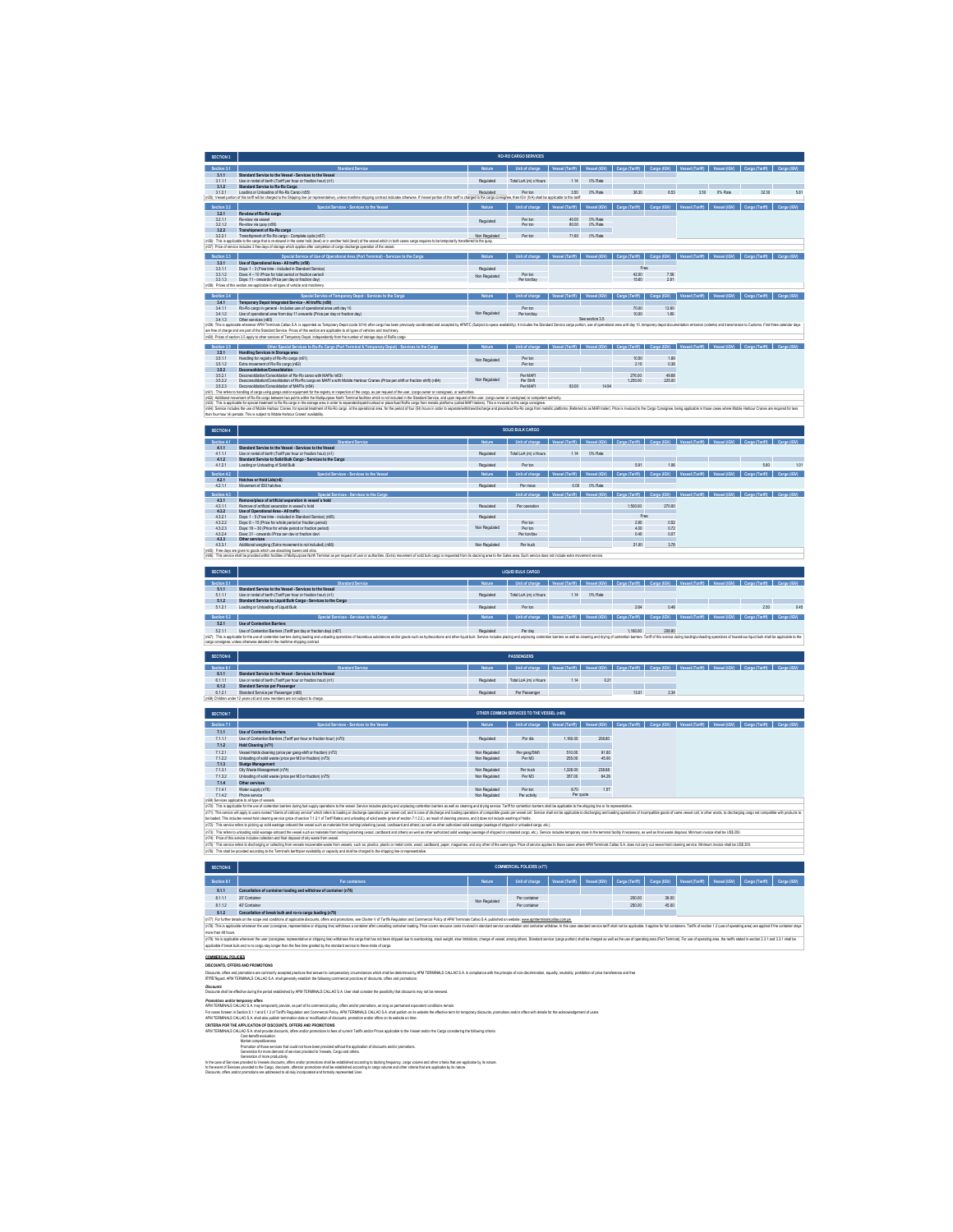| <b>SECTION 3</b> |                                                                                                                                                                                                                                                                              |               | <b>RO-RO CARGO SERVICES</b> |                        |                   |                |             |                       |              |                |             |
|------------------|------------------------------------------------------------------------------------------------------------------------------------------------------------------------------------------------------------------------------------------------------------------------------|---------------|-----------------------------|------------------------|-------------------|----------------|-------------|-----------------------|--------------|----------------|-------------|
| Section 3.1      | Standard Service                                                                                                                                                                                                                                                             | Nature        | Unit of charge              | <b>Vessel (Tariff)</b> | Vessel (IGV)      | Cargo (Tariff) | Cargo (IGV) | <b>Vessel (Tariff</b> | Vessel (IGV) | Cargo (Tariff) | Cargo (IGV) |
| 3.1.1            | Standard Service to the Vessel - Services to the Vessel                                                                                                                                                                                                                      |               |                             |                        |                   |                |             |                       |              |                |             |
| 3111             | Lise or regist of bech (Tariff per bour or fraction bout) (g1).                                                                                                                                                                                                              | Requisied     | Total LoA (m) x Hours       | 114                    | 0% Rate           |                |             |                       |              |                |             |
| 312              | Standard Service to Ro-Ro Caroo                                                                                                                                                                                                                                              |               |                             |                        |                   |                |             |                       |              |                |             |
| 3121             | Loading or Unloading of Ro-Ro Cargo (p55).<br>(n55): Vessel portion of this tariff will be charged to the Shipping line (or representative), unless manitime shipping contract indicates otherwise. If Vessel portion of this tariff is charged to the cargo consignee, then | Requisied     | Per ton                     | 3.50                   | 0% Rate           | 36.30          | 6.53        | 3.60                  | 0% Rate      | 32.30          | 6.81        |
|                  |                                                                                                                                                                                                                                                                              |               |                             |                        |                   |                |             |                       |              |                |             |
| Section 3.2      | Special Services - Services to the Vessel                                                                                                                                                                                                                                    | <b>Nature</b> | Unit of charge              | <b>Vessel (Tariff)</b> | Vessel (IGV)      | Caroo (Tariff) | Cargo (IGV) | <b>Vessel (Tariff</b> | Vessel (IGV) | Cargo (Tariff) | Cargo (IGV) |
| 321              | <b>Re-stow of Ro-Ro carno</b>                                                                                                                                                                                                                                                |               |                             |                        |                   |                |             |                       |              |                |             |
| 3211             | Reustrar via vessel                                                                                                                                                                                                                                                          | Regulated     | Per tro                     | 40.00                  | 0% Rate           |                |             |                       |              |                |             |
| 3212             | Re-stow via quay (eSS)                                                                                                                                                                                                                                                       |               | Per tro                     | 80.00                  | 0% Rate           |                |             |                       |              |                |             |
| 322              | Transhipment of Ro-Ro cargo                                                                                                                                                                                                                                                  |               |                             |                        |                   |                |             |                       |              |                |             |
| 3221             | Transhipment of Ro-Ro carpo - Complete cycle (p57)                                                                                                                                                                                                                           | Non Required  | Per ton                     | 71.60                  | 0% Rate           |                |             |                       |              |                |             |
|                  | (n56): This is applicable to the cargo that is re-stowed in the same hold (level) or in another hold (level) of the vessel which in both cases cargo requires to be terrocrafty transferred to the cuay                                                                      |               |                             |                        |                   |                |             |                       |              |                |             |
|                  | in57): Price of service includes 3 free days of storage which applies after completion of cargo discharge operation of the vessel.                                                                                                                                           |               |                             |                        |                   |                |             |                       |              |                |             |
| Section 3.3      | Special Service of Use of Operational Area (Port Terminal) - Services to the Cargo                                                                                                                                                                                           | Nature        | Unit of charge              | <b>Vessel (Tariff</b>  | Vessel (IGV)      | Cargo (Tariff) | Cargo (IGV) | <b>Vessel (Tariff</b> | Vessel (IGV) | Cargo (Tariff) | Cargo (IGV  |
| 3.3.1            | Use of Operational Area - All traffic (pS8)                                                                                                                                                                                                                                  |               |                             |                        |                   |                |             |                       |              |                |             |
| 3311             | Days: 1 - 3 (Fase time - included in Standard Service)                                                                                                                                                                                                                       | Requisied     |                             |                        |                   | Free           |             |                       |              |                |             |
| 3312             | Days: 4 = 10 (Price for total period or fraction period)                                                                                                                                                                                                                     |               | Per ton                     |                        |                   | 42.00          | 7.56        |                       |              |                |             |
| 3313             | Days: 11 - cowards (Price per day or fraction day).                                                                                                                                                                                                                          | Non Regulated | Per toniday                 |                        |                   | 15.60          | 2.81        |                       |              |                |             |
|                  | in58): Prices of this section are applicable to all types of vehicle and machinery                                                                                                                                                                                           |               |                             |                        |                   |                |             |                       |              |                |             |
|                  |                                                                                                                                                                                                                                                                              |               |                             |                        |                   |                |             |                       |              |                |             |
| Section 3.4      | Special Service of Temporary Depot - Services to the Cargo                                                                                                                                                                                                                   | <b>Nature</b> | Unit of charge              | <b>Vessel (Tarif</b>   | Vessel (IGV)      | Cargo (Tariff) | Carno (IGV) | <b>Vessal (Tariff</b> | Vessel (IGV) | Caroo (Tariff) | Carno (IGV) |
| 3.4.1            | Temporary Depot Integrated Service - All traffic (n59)                                                                                                                                                                                                                       |               |                             |                        |                   |                |             |                       |              |                |             |
| 3411             | Ro-Ro carpo in general - includes use of coerational area until day 10                                                                                                                                                                                                       |               | Per tro                     |                        |                   | 70.00          | 12.60       |                       |              |                |             |
| 3412             | Use of coerational area from day 11 cowards (Price per day or fraction day).                                                                                                                                                                                                 | Non Regulated | Per toniday                 |                        |                   | 10.00          | 1.80        |                       |              |                |             |
| 3413             | Other services (n60)                                                                                                                                                                                                                                                         |               |                             |                        | See section 3.6   |                |             |                       |              |                |             |
|                  | In59: This is applicable whenever APM Terminals Callao S.A is appointed as Termorary Depot (code 3014) after caroo has been previously coordinated and accepted by APMTC (Subject to space available). It includes the Standar                                               |               |                             |                        |                   |                |             |                       |              |                |             |
|                  | are free of charge and are part of the Standard Service. Prices of this section are applicable to all types of vehicles and machinery.                                                                                                                                       |               |                             |                        |                   |                |             |                       |              |                |             |
|                  | (n60): Prices of section 3.5 apply to other services of Temporary Depot, independently from the number of storage days of RoRo cargo.                                                                                                                                        |               |                             |                        |                   |                |             |                       |              |                |             |
|                  |                                                                                                                                                                                                                                                                              |               |                             |                        |                   |                |             |                       |              |                |             |
| Section 3.5      | Other Special Services to Ro-Ro Cargo (Port Terminal & Temporary Depot) - Services to the Cargo                                                                                                                                                                              | <b>Nature</b> | Unit of charge              | <b>Vessel (Tariff</b>  | <b>Vessel (KW</b> | Cargo (Tariff) | Carno (IGV) | <b>Vessal (Tariff</b> |              |                |             |
| 351              | Handling Services in Storage area                                                                                                                                                                                                                                            |               |                             |                        |                   |                |             |                       |              |                |             |
| 3611<br>3612     | Handling for registry of Ro-Ro camp (p61)<br>Extra movement of Ro-Ro cargo (p62)                                                                                                                                                                                             | Non Regulated | Per tren<br>Per tro         |                        |                   | 10.60<br>210   | 189<br>0.38 |                       |              |                |             |
| 352              | Deconsolidation/Consolidation                                                                                                                                                                                                                                                |               |                             |                        |                   |                |             |                       |              |                |             |
| 3.5.2.1          | Deconsolidation/Consolidation of Ro-Ro cargo with MAFIs (n63)                                                                                                                                                                                                                |               | Per MAFI                    |                        |                   | 276.00         | 49.68       |                       |              |                |             |
| 3622             | Desconsolidation(Consolidation of Ro-Ro cargo en MAFI's with Mobile Hachour Cranes (Price ner shift or fraction shift) (e84)                                                                                                                                                 | Non Regulated | Pre Shift                   |                        |                   | 1.250.00       | 225.00      |                       |              |                |             |
| 3623             | Deconsolidation/Consolidation of MAFIs (nS4)                                                                                                                                                                                                                                 |               | Per MAFI                    | 83.00                  | 1494              |                |             |                       |              |                |             |
|                  | in61) : This refers to handling of cargo using gangs and/or equipment for the registry or inspection of the cargo, as per request of the user, loango owner or consignee), or authorities.                                                                                   |               |                             |                        |                   |                |             |                       |              |                |             |
|                  | In621: Additional movement of Ro-Ro cargo between two points within the Multipurpose North Terminal facilities which is not included in the Standard Service, and upon request of the user, icargo owner or consignee) or comp                                               |               |                             |                        |                   |                |             |                       |              |                |             |
|                  | In63): This is applicable for special treatment to Ro-Ro cargo in the storage area in order to separate/dispatch/unload or place/load RoRo cargo from metalic platforms (called MAFI trailers). This is invoiced to the cargo                                                |               |                             |                        |                   |                |             |                       |              |                |             |
|                  | In54: Service includes the use of Mobile Harbour Crames, for special teatment of Ro-Ro caroo at the coerational area. for the period of four IIA1 Nours in order to separate/withdraw/dscharoe and place/bast Ro-Ro caroo form                                               |               |                             |                        |                   |                |             |                       |              |                |             |
|                  | than four-hour (4) periods. This is subject to Mobile Harbour Cranes' availability.                                                                                                                                                                                          |               |                             |                        |                   |                |             |                       |              |                |             |

| SECTION 4   |                                                                 |               | <b>SOLID BULK CARGO</b> |                 |              |                |             |                 |              |                                                                                             |             |
|-------------|-----------------------------------------------------------------|---------------|-------------------------|-----------------|--------------|----------------|-------------|-----------------|--------------|---------------------------------------------------------------------------------------------|-------------|
| Section 4.1 | Standard Service                                                | <b>Nature</b> | Unit of charge          | Vessel (Tariff) | Vessel (IGV) | Cargo (Tariff) | Cargo (IGV) | Vessel (Tariff) | Vessel (IGV) | Cargo (Tariff)                                                                              | Cargo (IGV) |
| 4.1.1       | Standard Service to the Vessel - Services to the Vessel         |               |                         |                 |              |                |             |                 |              |                                                                                             |             |
| 4.1.1.1     | Lise or regist of bech (Tariff per bour or fraction bout) (g1). | Regulated     | Total LoA (m) x Hours   | 114             | 0% Rate      |                |             |                 |              |                                                                                             |             |
| 4.1.2       | Standard Service to Solid Bulk Cargo - Services to the Cargo    |               |                         |                 |              |                |             |                 |              |                                                                                             |             |
| 4121        | Loading or Unloading of Solid Rulk                              | Requisied     | Per tro                 |                 |              | 5.91           | 1.06        |                 |              | 5.60                                                                                        | 1.01        |
| Section 4.2 | Special Services - Services to the Vessel                       | <b>Nature</b> | Unit of charge          | Vessel (Tariff) | Vessel (IGV) | Cargo (Tariff) | Cargo (IGV) | Vessel (Tariff) | Vessel (IGV) | Cargo (Tariff)                                                                              | Cargo (IGV) |
| 4.2.1       | Hatches or Hold Lids(n6)                                        |               |                         |                 |              |                |             |                 |              |                                                                                             |             |
| 4.2.1.1     | Movement of ISO hatches                                         | Regulated     | Per move                | 0.00            | 0% Rate      |                |             |                 |              |                                                                                             |             |
|             |                                                                 |               |                         |                 |              |                |             |                 |              | Vessel (KW) Carno (Tariff) Carno (KW) Vessel (Tariff) Vessel (KW) Carno (Tariff) Carno (KW) |             |
| Section 4.3 | Special Services - Services to the Carno                        |               | light of charge         | Vossel (Tariff) |              |                |             |                 |              |                                                                                             |             |
| 4.3.1       | Removelolace of artificial seconation in vessel's hold          |               |                         |                 |              |                |             |                 |              |                                                                                             |             |
| 4.3.1.1     | Remove of actificial secondico in vessel's hold                 | Regulated     | Per coeration           |                 |              | 1,500.00       | 270.00      |                 |              |                                                                                             |             |
| 4.3.2       | Use of Operational Area - All traffic                           |               |                         |                 |              |                |             |                 |              |                                                                                             |             |
| 4.3.2.1     | Days: 1 - 5 (Free time - included in Standard Service) (n65)    | Regulated     |                         |                 |              | Free           |             |                 |              |                                                                                             |             |
| 4.322       | Days: 6 - 15 (Price for whole period or fraction period)        |               | Per tron                |                 |              | 290            | 0.52        |                 |              |                                                                                             |             |
| 4323        | Days: 16 - 30 (Price for whole period or fraction neticol)      | Non Regulated | Per tro                 |                 |              | 400            | 0.72        |                 |              |                                                                                             |             |
| 4.3.2.4     | Days: 31 - onwards (Price per day or fraction day)              |               | Per toniday             |                 |              | 0.40           | 0.07        |                 |              |                                                                                             |             |
| 4.3.3       | Other services                                                  |               |                         |                 |              |                |             |                 |              |                                                                                             |             |
| 4.3.3.1     | Additional weighing (Extra movement is not included) (n66)      | Non Regulated | Per truck               |                 |              | 2100           | 3.78        |                 |              |                                                                                             |             |

4.3.3.1 Additional weighing (Extra movement is not included) (n66) Non Regulated Per truck 21.00 3.78 (n65): Free days are given to goods which use absorbing towers and silos. (n66): This service shall be provided within facilities of Multipurpose North Terminal as per request of user or authorities. (Extra) movement of solid bulk cargo is requested from its stacking area to the Gates area. Such service does not include extra movement service.

| <b>SECTION 5</b> |                                                                                                                                                                                                                                |               | <b>LIQUID BULK CARGO</b> |     |             |                |           |             |                                                                                                                               |             |
|------------------|--------------------------------------------------------------------------------------------------------------------------------------------------------------------------------------------------------------------------------|---------------|--------------------------|-----|-------------|----------------|-----------|-------------|-------------------------------------------------------------------------------------------------------------------------------|-------------|
| Section 5.1      | Standard Service                                                                                                                                                                                                               | <b>Nature</b> | Heit of charge           |     | Vessel (KW) | Caroo (Tariff) | Camp (KW) | Vessel (KW) | Carpo (Tariff)                                                                                                                | Cargo (IGV) |
| 5.1.1            | Standard Service to the Vessel - Services to the Vessel                                                                                                                                                                        |               |                          |     |             |                |           |             |                                                                                                                               |             |
| 5.1.1.1          | Use or rental of berth (Tariff per hour or fraction hour) (n1)                                                                                                                                                                 | Regulated     | Total LoA (m) x Hours    | 114 | 0% Rate     |                |           |             |                                                                                                                               |             |
| 5.1.2            | Standard Service to Liquid Bulk Cargo - Services to the Cargo                                                                                                                                                                  |               |                          |     |             |                |           |             |                                                                                                                               |             |
| 5121             | Loading or Unloading of Liquid Bulk                                                                                                                                                                                            | Requisied     | Per ton                  |     |             | 2.64           | 0.48      |             | 2.50                                                                                                                          | 0.45        |
|                  |                                                                                                                                                                                                                                |               |                          |     |             |                |           |             |                                                                                                                               |             |
| Section 5.2      | Special Services - Services to the Cargo                                                                                                                                                                                       | Nature        | Linit of charge          |     |             |                |           |             | Vessel (Tariff)   Vessel (IGV)   Cargo (Tariff)   Cargo (IGV)   Vessel (Tariff)   Vessel (IGV)   Cargo (Tariff)   Cargo (IGV) |             |
| 5.2.1            | <b>Use of Contention Barriers</b>                                                                                                                                                                                              |               |                          |     |             |                |           |             |                                                                                                                               |             |
| 5211             | Use of Contention Barriers (Tariff per day or fraction day) (n67)                                                                                                                                                              | Regulated     | Per day                  |     |             | 1.160.00       | 208.80    |             |                                                                                                                               |             |
|                  | in67: This is applicable for the use of contention barriers during loading and unloading coessilons of hazandous and/or cools such as invitocarbons and other louid bulk. Service includes olacing and oriention barriers as w |               |                          |     |             |                |           |             |                                                                                                                               |             |
|                  | cargo consignee, unless otherwise detailed in the maritime shipping contract.                                                                                                                                                  |               |                          |     |             |                |           |             |                                                                                                                               |             |
|                  |                                                                                                                                                                                                                                |               |                          |     |             |                |           |             |                                                                                                                               |             |
|                  |                                                                                                                                                                                                                                |               |                          |     |             |                |           |             |                                                                                                                               |             |

| SECTION 6   |                                                                               |           | <b>PASSENGERS</b>     |      |      |       |      |                                                                                                                               |  |  |
|-------------|-------------------------------------------------------------------------------|-----------|-----------------------|------|------|-------|------|-------------------------------------------------------------------------------------------------------------------------------|--|--|
| Section 6.1 | Standard Service                                                              | Nature    | light of charge       |      |      |       |      | Vessel (Tariff)   Vessel (IGV)   Cargo (Tariff)   Cargo (IGV)   Vessel (Tariff)   Vessel (IGV)   Cargo (Tariff)   Cargo (IGV) |  |  |
| 6.1.1       | Standard Service to the Vessel - Services to the Vessel                       |           |                       |      |      |       |      |                                                                                                                               |  |  |
| 6.1.1.1     | Use or rental of berth (Tariff per hour or fraction hour) (n1)                | Regulated | Total LoA (m) x Hours | 1.14 | 0.21 |       |      |                                                                                                                               |  |  |
| 6.1.2       | <b>Standard Service per Passenper</b>                                         |           |                       |      |      |       |      |                                                                                                                               |  |  |
| 6.1.2.1     | Standard Service per Passenger (n68)                                          | Requisier | Per Passenner         |      |      | 13.01 | 2.34 |                                                                                                                               |  |  |
|             | in68) Children under 12 years old and crew members are not subject to charge. |           |                       |      |      |       |      |                                                                                                                               |  |  |

| <b>SECTION 7</b> |                                                                     |               | OTHER COMMON SERVICES TO THE VESSEL (n69) |                 |              |                |             |                 |                                         |  |
|------------------|---------------------------------------------------------------------|---------------|-------------------------------------------|-----------------|--------------|----------------|-------------|-----------------|-----------------------------------------|--|
| Section 7.1      | Special Services - Services to the Vessel                           | Nature        | Unit of charge                            | Vessel (Tariff) | Vessel (IGV) | Cargo (Tariff) | Cargo (IGV) | Vessel (Tariff) | Vessel (IGV) Cargo (Tariff) Cargo (IGV) |  |
| 7.1.1            | <b>Use of Contention Barriers</b>                                   |               |                                           |                 |              |                |             |                 |                                         |  |
| 7.1.1.1          | Use of Contention Barriers (Tariff per hour or fraction hour) (n70) | Regulated     | Por dia                                   | 1,160.00        | 208.80       |                |             |                 |                                         |  |
| 7.1.2            | Hold Cleaning (n71)                                                 |               |                                           |                 |              |                |             |                 |                                         |  |
| 7.1.2.1          | Vessel Holds deaning (price per gang-shift or fraction) (n72)       | Non Required  | Per cang/Shift                            | 510.00          | 91.80        |                |             |                 |                                         |  |
| 7.1.2.2          | Unloading of solid waste (price per M3 or fraction) (n73)           | Non Regulated | Per M3                                    | 255.00          | 45.90        |                |             |                 |                                         |  |
| 7.1.3            | Sludge Management                                                   |               |                                           |                 |              |                |             |                 |                                         |  |
| 7.1.3.1          | Oily Waste Management (n74)                                         | Non Regulated | Per truck                                 | 1,326.00        | 238.68       |                |             |                 |                                         |  |
| 7.1.3.2          | Unloading of solid waste (price per M3 or fraction) (n75)           | Non Regulated | Per M3                                    | 357.00          | 64.26        |                |             |                 |                                         |  |
| 7.1.4            | Other services                                                      |               |                                           |                 |              |                |             |                 |                                         |  |
| 7.1.4.1          | Water supply (n76)                                                  | Non Required  | Per ton                                   | 8.70            | 1.57         |                |             |                 |                                         |  |
| 7142             | Phone service                                                       | Non Required  | Per artisty                               | Per quote       |              |                |             |                 |                                         |  |

7.141 Watername in the state of the state of the control of the School of the School of the School of the School of the School of the School of the School of the School of the School of the School of the School of the Scho

**SECTION 8 COMMERCIAL POLICIES (n77)** Section 1: "Basic Continue" (Section of Carlo Continue) Section (Section 1: "Beach Continue" (Section 1: "Beach Continue" (Section 1: "Beach Continue" (Section 1: "Beach Continue" (Section 1: ""Description of Continue") (S (hTis anterorbideabarya calcing burn wash nownable addit burn wash substituted in the state of mail of the mail of the same hand the same hot Phot desain by Phot desain and washes to be added to also also also also also al

|                    | 20 <sup>e</sup> Container                                                                                                                                                                                                      | Non Regulated | Per container |  |        | 36.00 |  |  |  |  |  |  |
|--------------------|--------------------------------------------------------------------------------------------------------------------------------------------------------------------------------------------------------------------------------|---------------|---------------|--|--------|-------|--|--|--|--|--|--|
| 8112               | 40° Container                                                                                                                                                                                                                  |               | Per container |  | 250.00 | 45.00 |  |  |  |  |  |  |
| 8.1.2              | Cancellation of break bulk and ro-ro cargo loading (n79)                                                                                                                                                                       |               |               |  |        |       |  |  |  |  |  |  |
|                    | In 77: For further details on the scope and conditions of applicable discounts, offers and promotions, see Charter V of Tariffs Regulation and Commercial Policy of JPM Terminals Callao S.A. published on website www.apminmi |               |               |  |        |       |  |  |  |  |  |  |
|                    | In78): This is applicable whenever the user (consigner, recreamitative or shipping ling) withdows a container after canceling container loading. Price covers resource costs involved in standard service cancellation and con |               |               |  |        |       |  |  |  |  |  |  |
| more than 48 hours |                                                                                                                                                                                                                                |               |               |  |        |       |  |  |  |  |  |  |
|                    |                                                                                                                                                                                                                                |               |               |  |        |       |  |  |  |  |  |  |

non the Stors.<br>My its splace whose the asy company reported to say in phyllom the angle that benchy address and weat, and in initias, dangel was analy division angles Strate (angles with the design prior) and including wit

 $\sim$ 

**COMEXEN FOLOES**<br>Rocking, dress are **neuerons**<br>Theory, dress are new production in the material and the material and and a state of the internet by PNT TRINAS CALIAS A complete the projet of our decisions, equity, minity,

*Discounts* Discounts shall be effective during the period established by APM TERMINALS CALLAO S.A. User shall consider the possibility that discounts may not be renewed.

Prowits addressing y day.<br>Pel 1560MAS CALAO S. hay langoshiy povide, as pat a face meeting port of the product as the path of the second<br>Pel 1560MAS CALAO S.1 and also path in minimation of sounds, performance and the seco

Central APPLICATION O'EXCOUTE OFFISI AND PROMITORS<br>Well Total Contral Central Accounts of the proposition is less of oursel Tarts and/or Priors applicable bits Vessel and/or the Carp considering the Moleky orbital<br>Well com

Constant of Constant of Industrial Constant of the State And the district of the State of State And the State And the State And the State And the State And the State And the State And the State And the State And the State